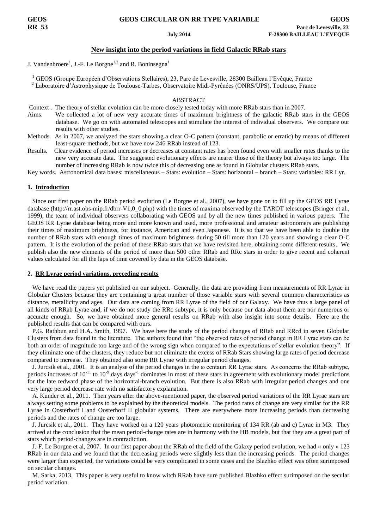## **GEOS GEOS CIRCULAR ON RR TYPE VARIABLE GEOS**

## **New insight into the period variations in field Galactic RRab stars**

J. Vandenbroere<sup>1</sup>, J.-F. Le Borgne<sup>1,2</sup> and R. Boninsegna<sup>1</sup>

<sup>1</sup> GEOS (Groupe Européen d'Observations Stellaires), 23, Parc de Levesville, 28300 Bailleau l'Evêque, France <sup>2</sup> Laboratoire d'Astrophysique de Toulouse-Tarbes, Observatoire Midi-Pyrénées (ONRS/UPS), Toulouse, France

### ABSTRACT

- Context . The theory of stellar evolution can be more closely tested today with more RRab stars than in 2007.
- Aims. We collected a lot of new very accurate times of maximum brightness of the galactic RRab stars in the GEOS database. We go on with automated telescopes and stimulate the interest of individual observers. We compare our results with other studies.
- Methods. As in 2007, we analyzed the stars showing a clear O-C pattern (constant, parabolic or erratic) by means of different least-square methods, but we have now 246 RRab instead of 123.
- Results. Clear evidence of period increases or decreases at constant rates has been found even with smaller rates thanks to the new very accurate data. The suggested evolutionary effects are nearer those of the theory but always too large. The number of increasing RRab is now twice this of decreasing one as found in Globular clusters RRab stars.

Key words. Astronomical data bases: miscellaneous – Stars: evolution – Stars: horizontal – branch – Stars: variables: RR Lyr.

#### **1. Introduction**

 Since our first paper on the RRab period evolution (Le Borgne et al., 2007), we have gone on to fill up the GEOS RR Lyrae database (http://rr.ast.obs-mip.fr/dbrr-V1,0\_0.php) with the times of maxima observed by the TAROT telescopes (Bringer et al., 1999), the team of individual observers collaborating with GEOS and by all the new times published in various papers. The GEOS RR Lyrae database being more and more known and used, more professional and amateur astronomers are publishing their times of maximum brightness, for instance, American and even Japanese. It is so that we have been able to double the number of RRab stars with enough times of maximum brightness during 50 till more than 120 years and showing a clear O-C pattern. It is the evolution of the period of these RRab stars that we have revisited here, obtaining some different results. We publish also the new elements of the period of more than 500 other RRab and RRc stars in order to give recent and coherent values calculated for all the laps of time covered by data in the GEOS database.

## **2. RR Lyrae period variations, preceding results**

 We have read the papers yet published on our subject. Generally, the data are providing from measurements of RR Lyrae in Globular Clusters because they are containing a great number of those variable stars with several common characteristics as distance, metallicity and ages. Our data are coming from RR Lyrae of the field of our Galaxy. We have thus a large panel of all kinds of RRab Lyrae and, if we do not study the RRc subtype, it is only because our data about them are nor numerous or accurate enough. So, we have obtained more general results on RRab with also insight into some details. Here are the published results that can be compared with ours.

 P.G. Rathbun and H.A. Smith, 1997. We have here the study of the period changes of RRab and RRcd in seven Globular Clusters from data found in the literature. The authors found that "the observed rates of period change in RR Lyrae stars can be both an order of magnitude too large and of the wrong sign when compared to the expectations of stellar evolution theory". If they eliminate one of the clusters, they reduce but not eliminate the excess of RRab Stars showing large rates of period decrease compared to increase. They obtained also some RR Lyrae with irregular period changes.

 J. Jurcsik et al., 2001. It is an analyse of the period changes in the ω centauri RR Lyrae stars. As concerns the RRab subtype, periods increases of  $10^{-11}$  to  $10^{-9}$  days days<sup>-1</sup> dominates in most of these stars in agreement with evolutionary model predictions for the late redward phase of the horizontal-branch evolution. But there is also RRab with irregular period changes and one very large period decrease rate with no satisfactory explanation.

 A. Kunder et al., 2011. Then years after the above-mentioned paper, the observed period variations of the RR Lyrae stars are always setting some problems to be explained by the theoretical models. The period rates of change are very similar for the RR Lyrae in Oosterhoff I and Oosterhoff II globular systems. There are everywhere more increasing periods than decreasing periods and the rates of change are too large.

 J. Jurcsik et al., 2011. They have worked on a 120 years photometric monitoring of 134 RR (ab and c) Lyrae in M3. They arrived at the conclusion that the mean period-change rates are in harmony with the HB models, but that they are a great part of stars which period-changes are in contradiction.

 J.-F. Le Borgne et al, 2007. In our first paper about the RRab of the field of the Galaxy period evolution, we had « only » 123 RRab in our data and we found that the decreasing periods were slightly less than the increasing periods. The period changes were larger than expected, the variations could be very complicated in some cases and the Blazhko effect was often surimposed on secular changes.

 M. Sarka, 2013. This paper is very useful to know witch RRab have sure published Blazhko effect surimposed on the secular period variation.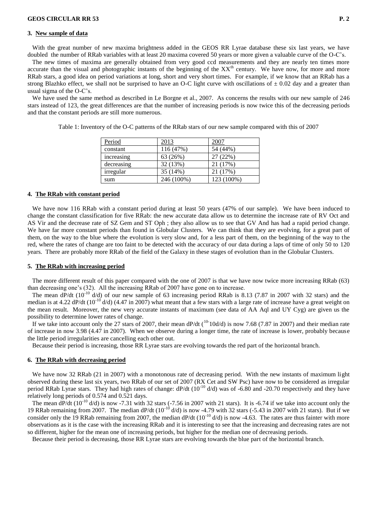#### **3. New sample of data**

With the great number of new maxima brightness added in the GEOS RR Lyrae database these six last years, we have doubled the number of RRab variables with at least 20 maxima covered 50 years or more given a valuable curve of the O-C's.

 The new times of maxima are generally obtained from very good ccd measurements and they are nearly ten times more accurate than the visual and photographic instants of the beginning of the XX<sup>th</sup> century. We have now, for more and more RRab stars, a good idea on period variations at long, short and very short times. For example, if we know that an RRab has a strong Blazhko effect, we shall not be surprised to have an O-C light curve with oscillations of  $\pm$  0.02 day and a greater than usual sigma of the O-C's.

 We have used the same method as described in Le Borgne et al., 2007. As concerns the results with our new sample of 246 stars instead of 123, the great differences are that the number of increasing periods is now twice this of the decreasing periods and that the constant periods are still more numerous.

| Period     | 2013       | 2007       |
|------------|------------|------------|
| constant   | 116 (47%)  | 54 (44%)   |
| increasing | 63 (26%)   | 27 (22%)   |
| decreasing | 32(13%)    | 21 (17%)   |
| irregular  | 35 (14%)   | 21 (17%)   |
| sum        | 246 (100%) | 123 (100%) |

Table 1: Inventory of the O-C patterns of the RRab stars of our new sample compared with this of 2007

#### **4. The RRab with constant period**

 We have now 116 RRab with a constant period during at least 50 years (47% of our sample). We have been induced to change the constant classification for five RRab: the new accurate data allow us to determine the increase rate of RV Oct and AS Vir and the decrease rate of SZ Gem and ST Oph ; they also allow us to see that GV And has had a rapid period change. We have far more constant periods than found in Globular Clusters. We can think that they are evolving, for a great part of them, on the way to the blue where the evolution is very slow and, for a less part of them, on the beginning of the way to the red, where the rates of change are too faint to be detected with the accuracy of our data during a laps of time of only 50 to 120 years. There are probably more RRab of the field of the Galaxy in these stages of evolution than in the Globular Clusters.

### **5. The RRab with increasing period**

 The more different result of this paper compared with the one of 2007 is that we have now twice more increasing RRab (63) than decreasing one's (32). All the increasing RRab of 2007 have gone on to increase.

The mean dP/dt  $(10^{-10}$  d/d) of our new sample of 63 increasing period RRab is 8.13 (7.87 in 2007 with 32 stars) and the median is at 4.22 dP/dt (10<sup>-10</sup> d/d) (4.47 in 2007) what meant that a few stars with a large rate of increase have a great weight on the mean result. Moreover, the new very accurate instants of maximum (see data of AA Aql and UY Cyg) are given us the possibility to determine lower rates of change.

If we take into account only the 27 stars of 2007, their mean dP/dt  $(^{10}$ -10d/d) is now 7.68 (7.87 in 2007) and their median rate of increase in now 3.98 (4.47 in 2007). When we observe during a longer time, the rate of increase is lower, probably because the little period irregularities are cancelling each other out.

Because their period is increasing, those RR Lyrae stars are evolving towards the red part of the horizontal branch.

#### **6. The RRab with decreasing period**

We have now 32 RRab (21 in 2007) with a monotonous rate of decreasing period. With the new instants of maximum light observed during these last six years, two RRab of our set of 2007 (RX Cet and SW Psc) have now to be considered as irregular period RRab Lyrae stars. They had high rates of change:  $dP/dt$  ( $10^{-10}$  d/d) was of -6.80 and -20.70 respectively and they have relatively long periods of 0.574 and 0.521 days.

The mean  $dP/dt$  (10<sup>-10</sup> d/d) is now -7.31 with 32 stars (-7.56 in 2007 with 21 stars). It is -6.74 if we take into account only the 19 RRab remaining from 2007. The median dP/dt (10-10 d/d) is now -4.79 with 32 stars (-5.43 in 2007 with 21 stars). But if we consider only the 19 RRab remaining from 2007, the median  $dP/dt$  (10<sup>-10</sup> d/d) is now -4.63. The rates are thus fainter with more observations as it is the case with the increasing RRab and it is interesting to see that the increasing and decreasing rates are not so different, higher for the mean one of increasing periods, but higher for the median one of decreasing periods.

Because their period is decreasing, those RR Lyrae stars are evolving towards the blue part of the horizontal branch.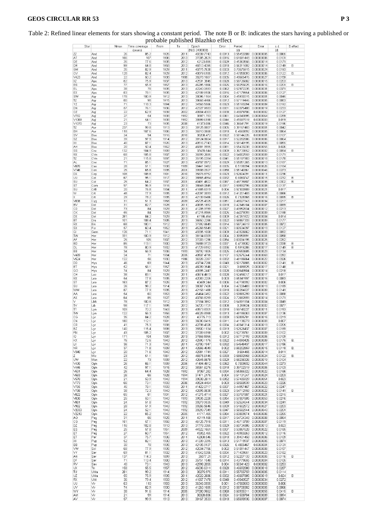|                                                                      |            |            |                           |              |              | probable published Blazhko effect |                  |                          |                                                |                  |          |
|----------------------------------------------------------------------|------------|------------|---------------------------|--------------|--------------|-----------------------------------|------------------|--------------------------|------------------------------------------------|------------------|----------|
| Star                                                                 |            | Nmax       | Time coverrage<br>(years) | From         | To           | Epoch<br>(HJD 2400000)            | Error            | Period<br>(d)            | Error                                          | s.d<br>(d)       | B.effect |
| ZZ                                                                   | And        | 26         | 85.2                      | 1926         | 2011         | 40339.7743                        | 0.0013           | 0.55453309               | 0.00000005                                     | 0.0065           |          |
| AT<br>DE                                                             | And<br>And | 166<br>35  | 107<br>77.6               | 1906<br>1935 | 2013<br>2012 | 37005.2621<br>42123.885           | 0.0016<br>0.0029 | 0.61691448<br>0.45363556 | 0.00000006<br>0.00000014                       | 0.0101<br>0.0171 |          |
| DR                                                                   | And        | 99         | 54.8                      | 1958         | 2013         | 46513.4395                        | 0.0018           | 0.56311692               | 0.00000014                                     | 0.0149           | В        |
| <b>GM</b>                                                            | And        | 35         | 82.9                      | 1929         | 2011         | 40775.7638                        | 0.0033           | 0.70675915               | 0.00000024                                     | 0.0193           |          |
| O٧<br>V423                                                           | And<br>And | 128<br>22  | 82.4<br>50.2              | 1929<br>1938 | 2012<br>1988 | 40879.6185<br>38278.1667          | 0.0012<br>0.0035 | 0.47058093<br>0.48665476 | 0.00000006<br>0.00000027                       | 0.0122<br>0.0159 | B:       |
| XZ                                                                   | Aps        | 82         | 75.9                      | 1937         | 2013         | 42531.3845                        | 0.0028           | 0.58726682               | 0.00000015                                     | 0.0203           |          |
| BS                                                                   | Aps        | 77         | 55.9                      | 1957         | 2013         | 46295.1866                        | 0.0025           | 0.58255625               | 0.00000016                                     | 0.0201           | в        |
| ΕL<br>EX                                                             | Aps        | 38<br>83   | 78<br>78.1                | 1935<br>1935 | 2013<br>2013 | 42240.0593<br>42189.9106          | 0.0062<br>0.0016 | 0.57972235<br>0.47179954 | 0.00000031<br>0.00000006                       | 0.0371<br>0.0127 |          |
| SW                                                                   | Aps<br>Aqr | 178        | 100.9                     | 1912         | 2013         | 38096.1164                        | 0.0004           | 0.45930315               | 0.00000001                                     | 0.0045           |          |
| TZ                                                                   | Aqr        | 80         | 98                        | 1915         | 2013         | 38668.4466                        | 0.0012           | 0.57119446               | 0.00000005                                     | 0.0083           |          |
| YΖ                                                                   | Aqr        | 71<br>57   | 118.3                     | 1894         | 2012         | 34568.5566                        | 0.0023           | 0.55193294               | 0.00000009                                     | 0.0192           |          |
| DN<br>OΖ                                                             | Aqr<br>Aql | 22         | 76.1<br>62.9              | 1936<br>1939 | 2012<br>2002 | 42327.9583<br>40904.4303          | 0.0031<br>0.0038 | 0.63375488<br>0.48079706 | 0.00000019<br>0.0000002                        | 0.0233<br>0.0127 |          |
| $\sqrt{782}$                                                         | Aql        | 27         | 54                        | 1938         | 1992         | 38971.783                         | 0.0061           | 0.64343895               | 0.00000064                                     | 0.0289           |          |
| V1069                                                                | Aql        | 21         | 54.1                      | 1938         | 1992         | 38999.6198                        | 0.0044           | 0.45597519               | 0.0000003                                      | 0.019            |          |
| V1070<br>TZ                                                          | Aql<br>Aur | 23<br>237  | 73<br>99.8                | 1935<br>1913 | 2008<br>2013 | 41373.086<br>38125.8807           | 0.0046<br>0.0005 | 0.36641791<br>0.39167483 | 0.00000019<br>0.00000001                       | 0.0196<br>0.0042 |          |
| BН                                                                   | Aur        | 118        | 107.6                     | 1906         | 2013         | 36910.0668                        | 0.0018           | 0.4560892                | 0.00000005                                     | 0.0064           |          |
| SV                                                                   | Boo        | 24         | 94                        | 1916         | 2010         | 38208.472                         | 0.0022           | 0.58144226               | 0.0000001                                      | 0.0107           |          |
| SZ<br>XX                                                             | Boo<br>Boo | 39<br>40   | 97.9<br>87.1              | 1914<br>1926 | 2012<br>2013 | 38124.8604<br>40516.7743          | 0.0017<br>0.0014 | 0.52282006<br>0.58140195 | 0.00000006<br>0.00000006                       | 0.0064<br>0.0055 |          |
| AΗ                                                                   | Boo        | 20         | 50.4                      | 1962         | 2012         | 46881.9995                        | 0.0081           | 0.55433238               | 0.00000055                                     | 0.026            |          |
| SS                                                                   | Cnc        | 132        | 104.9                     | 1909         | 2013         | 37470.544                         | 0.0009           | 0.36733852               | 0.00000002                                     | 0.0094           | в        |
| RX                                                                   | CVn        | 68         | 105.8                     | 1907         | 2013         | 36999.2685                        | 0.0022           | 0.54002559               | 0.00000009                                     | 0.0171           |          |
| TZ<br>AL                                                             | CVn<br>Cmi | 21<br>71   | 115.8<br>85.1             | 1897<br>1927 | 2013<br>2013 | 35195.0394<br>40787.8972          | 0.0041<br>0.0029 | 0.55187903<br>0.55051265 | 0.00000018<br>0.00000013                       | 0.0178<br>0.0187 |          |
| <b>V870</b>                                                          | Cas        | 28         | 51.1                      | 1938         | 1989         | 38441.9482                        | 0.0035           | 0.5198394                | 0.00000026                                     | 0.0184           |          |
| $\sqrt{746}$                                                         | Cen        | 25         | 65.8                      | 1935         | 2001         | 39908.0927                        | 0.0058           | 0.55140361               | 0.00000046                                     | 0.0273           |          |
| DX<br>UU                                                             | Cep<br>Cet | 108<br>67  | 108.8<br>95.1             | 1901<br>1917 | 2010<br>2012 | 35676.8752<br>38865.4954          | 0.0023<br>0.0032 | 0.52604091<br>0.6060747  | 0.00000011<br>0.00000015                       | 0.0236<br>0.0232 | B        |
| SU                                                                   | Col        | 25         | 64.2                      | 1937         | 2001         | 40491.4822                        | 0.0067           | 0.48735807               | 0.00000035                                     | 0.0302           | B.       |
| ST                                                                   | Com        | 97         | 96.9                      | 1916         | 2013         | 38648.0845                        | 0.0017           | 0.59892796               | 0.00000008                                     | 0.0137           |          |
| SU<br>W                                                              | CrB<br>Crt | 20<br>48   | 76.8<br>77.9              | 1934<br>1935 | 2011<br>2013 | 41685.6319<br>42097.0093          | 0.004<br>0.0012  | 0.57300909<br>0.41201403 | 0.00000021<br>0.00000005                       | 0.017<br>0.0066  |          |
| X                                                                    | Crt        | 29         | 78.2                      | 1935         | 2013         | 42139.8466                        | 0.0026           | 0.7328368                | 0.00000016                                     | 0.0095           | в        |
| V838                                                                 | Cyg        | 31         | 51.3                      | 1958         | 2009         | 45725.4325                        | 0.0051           | 0.48027943               | 0.00000034                                     | 0.0217           |          |
| Bν                                                                   | Del        | 31         | 82.7                      | 1928         | 2011         | 40635.1892                        | 0.0018           | 0.42345104<br>0.49952634 | 0.00000007                                     | 0.0099           |          |
| CD<br>СK                                                             | Del<br>Del | 73<br>55   | 84<br>84                  | 1929<br>1929 | 2013<br>2013 | 41205.9789<br>41215.8965          | 0.0027<br>0.0025 | 0.44279093               | 0.00000012<br>0.00000009                       | 0.0213<br>0.0188 |          |
| DX                                                                   | Del        | 281        | 84.2                      | 1929         | 2013         | 41186.454                         | 0.0009           | 0.47261822               | 0.00000004                                     | 0.014            |          |
| ВT                                                                   | Dra        | 101        | 108.4                     | 1905         | 2013         | 36650.2266                        | 0.0022           | 0.58867333               | 0.00000009                                     | 0.0177           |          |
| RX<br>SX                                                             | Eri<br>For | 68<br>57   | 100.1<br>60.4             | 1912<br>1952 | 2012<br>2013 | 37992.6649<br>45268.5549          | 0.0014<br>0.0021 | 0.58724619<br>0.60534097 | 0.00000005<br>0.00000013                       | 0.0072<br>0.0127 |          |
| GI                                                                   | Gem        | 126        | 71.1                      | 1941         | 2013         | 43335.1008                        | 0.0009           | 0.43326662               | 0.00000003                                     | 0.0092           |          |
| TW                                                                   | Her        | 331        | 100.9                     | 1912         | 2013         | 38134.6309                        | 0.0004           | 0.39959991               | 0.00000001                                     | 0.0058           |          |
| AF                                                                   | Her        | 25         | 105                       | 1907         | 2012         | 37003.1296                        | 0.0054           | 0.63034195               | 0.00000025                                     | 0.0262           |          |
| <b>BD</b><br>DL                                                      | Her<br>Her | 85<br>78   | 113.1<br>80.9             | 1900<br>1932 | 2013<br>2013 | 35888.9723<br>41729.8152          | 0.0037<br>0.0036 | 0.4739082<br>0.5916286   | 0.00000014<br>0.00000017                       | 0.0338<br>0.0149 | B<br>В   |
| EE                                                                   | Her        | 34         | 56.9                      | 1936         | 1993         | 38792.1805                        | 0.0025           | 0.49553685               | 0.00000023                                     | 0.0134           |          |
| V469                                                                 | Her        | 24         | 71                        | 1934         | 2005         | 40507.4795                        | 0.0107           | 0.52575244               | 0.00000063                                     | 0.0282           |          |
| $\vee$ 524<br>DD                                                     | Her<br>Hya | 122<br>46  | 56<br>69                  | 1930<br>1944 | 1986<br>2013 | 36326.2267<br>43734.7266          | 0.0032<br>0.0043 | 0.48186664<br>0.50176865 | 0.00000022<br>0.0000002                        | 0.0326<br>0.0141 | В        |
| EТ                                                                   | Hya        | 52         | 56.1                      | 1957         | 2013         | 46099.3546                        | 0.0021           | 0.685525                 | 0.00000017                                     | 0.0148           |          |
| GO                                                                   | Hya        | 74         | 84                        | 1929         | 2013         | 40995.2447                        | 0.0028           | 0.63643504               | 0.00000014                                     | 0.0218           |          |
| CН<br>RX                                                             | Lac        | 38<br>54   | 83.1<br>77.8              | 1928<br>1935 | 2011<br>2013 | 40674.4613<br>42083.2205          | 0.0028<br>0.003  | 0.52456017<br>0.65341597 | 0.00000017<br>0.00000016                       | 0.017<br>0.0083  |          |
| ST                                                                   | Leo<br>Leo | 163        | 87.2                      | 1926         | 2013         | 40469.244                         | 0.0006           | 0.47798392               | 0.00000002                                     | 0.006            |          |
| SU                                                                   | Leo        | 26         | 98.2                      | 1914         | 2012         | 38087.7426                        | 0.004            | 0.47226483               | 0.00000013                                     | 0.0189           |          |
| WW                                                                   | Leo        | 87         | 77.9                      | 1935         | 2013         | 42158.1488                        | 0.0018           | 0.60284627               | 0.00000009                                     | 0.0141           |          |
| ΑА<br>АX                                                             | Leo<br>Leo | 54<br>64   | 60<br>85                  | 1953<br>1927 | 2013<br>2012 | 45464.0452<br>40766.8259          | 0.0022<br>0.0024 | 0.59865299<br>0.72682693 | 0.00000016<br>0.00000014                       | 0.0088<br>0.0171 |          |
| v                                                                    | LMi        | 78         | 100.8                     | 1912         | 2013         | 37934.3852                        | 0.0012           | 0.54391934               | 0.00000004                                     | 0.0049           |          |
| TV                                                                   | Lib        | 98         | 117.1                     | 1895         | 2012         | 34720.1721                        | 0.0008           | 0.269624                 | 0.00000002                                     | 0.0077           |          |
| π<br>TW                                                              | Lyn        | 109<br>122 | 70.2<br>56.3              | 1943<br>1956 | 2013<br>2013 | 43573.8301                        | 0.0018           | 0.59743227               | 0.00000011                                     | 0.0153           |          |
| СG                                                                   | Lyn<br>Lyr | 35         | 84.2                      | 1928         | 2012         | 46026.6968<br>40775.713           | 0.0013<br>0.0039 | 0.48186063<br>0.50895781 | 0.00000007<br>0.00000016                       | 0.0136<br>0.0219 |          |
| CN                                                                   | ∟γr        | 180        | 112.1                     | 1901         | 2013         | 36090.8415                        | 0.0011           | 0.41138279               | 0.00000003                                     | 0.007            |          |
| CR                                                                   | Lyr        | 41         | 75.3                      | 1938         | 2013         | 42798.4326                        | 0.0034           |                          | 0.49341314 0.00000013                          | 0.0205           |          |
| EΖ<br>FN                                                             | Lyr        | 140<br>43  | 115.4<br>105.2            | 1898<br>1907 | 2013<br>2012 | 35500.1134<br>37009.6158          | 0.0019<br>0.002  | 0.52739761               | 0.52526437 0.00000007<br>0.00000009            | 0.0189<br>0.0102 |          |
| Ю                                                                    | Lyr<br>Lyr | 171        | 104                       | 1909         | 2013         | 37558.5955                        | 0.0012           | 0.57712193               | 0.00000005                                     | 0.0109           |          |
| ΚХ                                                                   | Lyr        | 75         | 72.5                      | 1940         | 2012         | 42990.1175                        | 0.0022           |                          | 0.44090425 0.00000009                          | 0.0175           | B:       |
| LX                                                                   | Lyr        | 36<br>37   | 71.3                      | 1940         | 2011<br>2011 | 42780.1947<br>42666.4049          | 0.0032<br>0.002  |                          | 0.54548437 0.00000017<br>0.68202859 0.00000015 | 0.0156           |          |
| NR<br>$\vee$ 340                                                     | Lyr<br>Lyr | 20         | 71.8<br>71.6              | 1939<br>1940 | 2012         | 42981.1741                        | 0.0027           |                          | 0.584455 0.00000014                            | 0.0118<br>0.011  | В:       |
| Z.                                                                   | Mic        | 23         | 51.1                      | 1961         | 2012         | 46875.6145                        | 0.0033           |                          | 0.58692958 0.00000024                          | 0.0122           | B:       |
| UW                                                                   | Mon        | 22         | 73                        | 1939         | 2012         | 42645.6678                        | 0.0029           |                          | 0.58236326 0.00000019                          | 0.0104           |          |
| V430<br>$\vee$ 445                                                   | Oph<br>Oph | 25<br>42   | 66.1<br>97.1              | 1939<br>1915 | 2005<br>2012 | 41494.4812<br>38361.6275          | 0.0062<br>0.0018 |                          | 0.7009832 0.00000044<br>0.39702319 0.00000005  | 0.0273<br>0.0103 |          |
| V531                                                                 | Oph        | 25         | 64.4                      | 1928         | 1992         | 37067.282                         | 0.0034           | 0.55365322               | 0.00000022                                     | 0.0166           |          |
| V563                                                                 | Oph        | 26         | 66                        | 1928         | 1994         | 37471.2175                        | 0.004            | 0.51131247               | 0.00000024                                     | 0.0203           |          |
| V570<br>V773                                                         | Oph<br>Oph | 21<br>66   | 53.9<br>73.1              | 1940<br>1933 | 1994<br>2006 | 39638.2611<br>40524.4464          | 0.0052<br>0.003  | 0.57485929<br>0.58568539 | 0.00000051<br>0.00000023                       | 0.023<br>0.0226  |          |
| V785                                                                 | Oph        | 45         | 78.1                      | 1933         | 2011         | 41422.0717                        | 0.0037           | 0.44957467               | 0.00000022                                     | 0.0247           |          |
| V788                                                                 | Oph        | 38         | 72.3                      | 1940         | 2012         | 42895.8638                        | 0.0023           | 0.54712958               | 0.00000022                                     | 0.0141           | в        |
| V822<br>V830                                                         | Oph        | 65<br>25   | 81<br>53.1                | 1931<br>1940 | 2012<br>1993 | 41275.4714<br>39535.2228          | 0.0027<br>0.0054 | 0.53767807               | 0.00000021<br>0.00000053                       | 0.0215<br>0.0216 |          |
| V881                                                                 | Oph<br>Oph | 24         | 51.8                      | 1940         | 1992         | 39279.9535                        | 0.0049           | 0.57007605<br>0.52524644 | 0.00000034                                     | 0.0241           |          |
| V962                                                                 | Oph        | 28         | 51.9                      | 1940         | 1992         | 39266.5646                        | 0.0039           | 0.51602572               | 0.00000027                                     | 0.0203           |          |
| V2033                                                                | Oph        | 24         | 52.1                      | 1940         | 1992         | 39293.7349                        | 0.0047           | 0.56582944               | 0.00000043                                     | 0.0201           |          |
| V2210<br>AΟ                                                          | Oph<br>Peg | 22<br>31   | 65.2<br>86                | 1940<br>1925 | 2005<br>2011 | 41717.465<br>40119.168            | 0.0084<br>0.0017 | 0.63809874<br>0.54724348 | 0.0000006<br>0.00000008                        | 0.0265<br>0.0084 |          |
| СG                                                                   | Peg        | 181        | 57.1                      | 1956         | 2013         | 46125.7918                        | 0.0011           | 0.46713709               | 0.00000007                                     | 0.0119           |          |
| DZ                                                                   | Peg        | 116        | 102.8                     | 1910         | 2013         | 37778.3365                        | 0.0029           | 0.60734886               | 0.00000013                                     | 0.023            |          |
| ES                                                                   | Peg        | 25         | 57.8                      | 1951         | 2009         | 44522.1661                        | 0.0037           | 0.53867628               | 0.00000022                                     | 0.0185           |          |
| ET<br>ET                                                             | Peg<br>Per | 27<br>37   | 60.7<br>75.7              | 1951<br>1936 | 2012<br>2011 | 45052.465<br>42000.546            | 0.0022<br>0.0018 | 0.48983263<br>0.39401458 | 0.00000012<br>0.00000006                       | 0.0116<br>0.0109 |          |
| Ж                                                                    | Pup        | 52         | 82.1                      | 1930         | 2013         | 41339.3395                        | 0.0013           | 0.51719937               | 0.00000005                                     | 0.0071           |          |
| BB                                                                   | Pup        | 30         | 78                        | 1935         | 2013         | 42105.9137                        | 0.0026           | 0.4805467                | 0.0000001                                      | 0.0131           |          |
|                                                                      | Scl        | 68         | 77.9                      | 1935         | 2012         | 42034.7766                        | 0.002            | 0.51091447               | 0.00000008                                     | 0.0157           |          |
|                                                                      | Ser<br>Ser | 69<br>137  | 81.1<br>114.3             | 1932<br>1899 | 2013<br>2013 | 41642.5356<br>35577.21            | 0.0034<br>0.0012 | 0.71409651<br>0.52207133 | 0.00000023<br>0.00000005                       | 0.0182<br>0.0116 | в        |
|                                                                      |            | 71         | 113.4                     | 1900         | 2013         | 35751.1548                        | 0.0014           | 0.43779655               | 0.00000004                                     | 0.0105           |          |
|                                                                      | Ser        |            |                           | 1940         | 2013         | 42998.2055                        | 0.004            | 0.50341423               | 0.0000002                                      | 0.0253           |          |
|                                                                      | Sex        | 40         | 73.1                      |              |              |                                   |                  |                          |                                                |                  |          |
|                                                                      | Tri        | 158        | 55.5                      | 1957         | 2012         | 46036.6311                        | 0.0028           | 0.46692088               | 0.00000018                                     | 0.0287           |          |
|                                                                      | UMa        | 281<br>55  | 99.2                      | 1914<br>1935 | 2013<br>2011 | 38275.975                         | 0.0011           | 0.55765759               | 0.00000005                                     | 0.0114<br>0.024  |          |
|                                                                      | UMa<br>UMi | 36         | 75.9<br>79.4              | 1933         | 2012         | 42022.2686<br>41657.7478          | 0.0032<br>0.0048 | 0.46687885<br>0.49043527 | 0.00000019<br>0.00000034                       | 0.0272           | В        |
|                                                                      | Vir        | 63         | 110                       | 1903         | 2013         | 36346.0555                        | 0.001            |                          | 0.47560653 0.00000003                          | 0.006            |          |
| w<br>VY<br>ΑN<br>DF<br>RV<br>UX.<br>TU<br>UZ<br>RX<br>UU<br>UV<br>WY | Vir<br>Vir | 74<br>38   | 82.9<br>91.6              | 1930<br>1914 | 2013<br>2005 | 41263.1685<br>37000.9662          | 0.0012<br>0.0068 |                          | 0.58708302 0.00000005<br>0.60935311 0.00000055 | 0.0066<br>0.0415 | В        |

## Table 2: Refined linear elements for stars showing a constant period. The note B or B: indicates the stars having a published or probable published Blazhko effect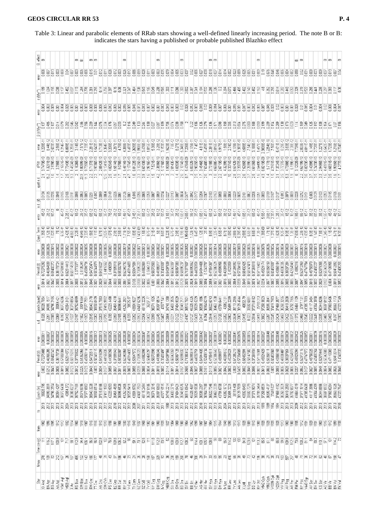Table 3: Linear and parabolic elements of RRab stars showing a well-defined linearly increasing period. The note B or B: indicates the stars having a published or probable published Blazhko effect

| effect<br>œ              | $\infty$                 |            |                 |            |            |                   | മമ                       |                            |            | മമ             |                 |                |            |                     |               | œ                        |                           |                                              |                   |                          |            | ⅏                   |                             |                   |                   | ∞                 |                                                                            |            |            |                     |                 | മമ                |           |                                           |                      |                     |                   |                          |                   | ∞            |            |            |            |                        |                                            |            |            | க் ம          |                         |                        |                          |                   | $\omega$ $\omega$ | ∞                                  |
|--------------------------|--------------------------|------------|-----------------|------------|------------|-------------------|--------------------------|----------------------------|------------|----------------|-----------------|----------------|------------|---------------------|---------------|--------------------------|---------------------------|----------------------------------------------|-------------------|--------------------------|------------|---------------------|-----------------------------|-------------------|-------------------|-------------------|----------------------------------------------------------------------------|------------|------------|---------------------|-----------------|-------------------|-----------|-------------------------------------------|----------------------|---------------------|-------------------|--------------------------|-------------------|--------------|------------|------------|------------|------------------------|--------------------------------------------|------------|------------|---------------|-------------------------|------------------------|--------------------------|-------------------|-------------------|------------------------------------|
| $\frac{error}{0.006}$    | à                        | Signo      | g               |            | 즴          | go                | g<br>ğ                   | ğ                          | ĝ          | ā              | ero<br>D        |                |            |                     |               | es<br>Do                 | <b>CIOIO</b>              |                                              |                   |                          | g          | 9                   |                             |                   |                   | 8                 |                                                                            |            |            |                     |                 | <b>OLOTS</b>      | g         | ġ<br>ā                                    |                      |                     |                   |                          | ğ                 | 8            |            | 0.076      | ano        | ang<br>900             | 흥                                          | §          | goo        | 8             |                         | g                      | goo<br>ë                 | goo               | es oro            | Š                                  |
| a (Myr")                 |                          |            |                 |            |            |                   |                          |                            |            | ă              |                 |                | 98)        |                     | 8             | 21<br>747                |                           |                                              | 욶                 |                          | go         | 得                   |                             |                   |                   | 븜                 |                                                                            |            |            |                     |                 | ğ                 |           |                                           | ä                    |                     |                   |                          |                   |              |            |            |            |                        | 믘                                          |            |            | 읆             |                         |                        | ₹                        |                   |                   |                                    |
| error                    | ğ                        |            |                 |            | ğ          | ğ                 | 8<br>ĝ                   |                            | ğ          | ğ              | ğ               |                | ã          | ğ                   | ğ             | arong                    | ğ<br>Ĕ                    | ğ                                            |                   |                          | ğ          |                     |                             |                   |                   |                   |                                                                            | ā          | g          | ã                   |                 |                   | Š         | ğ                                         |                      | ā                   |                   | ğ<br>ğ                   | Ë                 | ğ            |            | Ĕ          | ğ          | 븜                      | ğ<br>ā                                     | ĝ          | go         | ā             | arong                   | ğ                      | ā<br>ğ                   | g                 | ğ                 | ğ<br>ĝ                             |
| β (d Myr <sup>-1</sup> ) |                          |            |                 |            |            | 0.545             |                          |                            |            |                |                 |                |            |                     |               | 3                        |                           |                                              |                   |                          |            |                     |                             |                   |                   |                   |                                                                            |            |            |                     |                 |                   |           |                                           |                      |                     | ខី                |                          |                   |              |            |            |            |                        | 511Z                                       |            |            | 0.169         |                         |                        |                          |                   |                   |                                    |
| error                    | 8.44E-12<br>228E-11      | 2.503E-1   | 58E-12          | $1214E-11$ | 6.899E-1   | .259E-11          | 7.57E-12<br>314E-12      | 33E-12                     | $2815-11$  | <b>542E-1</b>  | .713E-1         | 1364E-1        | 3.206E-1   | <b>287E-1</b>       |               | 4.388E-1<br>493E-1       |                           | 9908E-10                                     | 476E-1            |                          | 5.365.1    | 3.28E-12            | 1.1623E-10                  |                   |                   | 5.348E-1          |                                                                            |            |            | 4.81E-11            |                 | 2.391E-1          | S16E-I    | 1,58E-1                                   |                      |                     | $1393E - 10$      |                          | 3.188-1           | 457E-1       |            | 1.2254E-10 | 7,565-11   |                        | 3,88E-12<br>8.29E-11                       | 2.38E-12   | 7.739E-1   | 2,838E-T      |                         | 1.48E-1                |                          |                   | <b>728E-11</b>    | É                                  |
|                          |                          |            |                 |            |            |                   |                          |                            |            |                |                 |                |            |                     |               |                          |                           |                                              |                   |                          |            |                     |                             |                   |                   |                   |                                                                            |            |            |                     |                 |                   |           |                                           |                      |                     |                   |                          |                   |              |            |            |            |                        |                                            |            |            |               |                         |                        |                          |                   |                   |                                    |
| dP/dt                    | 7473E-10<br>3291E-08     | 2.939E-10  | 3.786E-11       | 2.1651E-10 | 7.7343E-10 | 1.4924E-09        | 1,8059E-09               | 7355E-10<br>တ              |            | 3.9336E-10     | <b>0842E-10</b> | $9.1341E - 10$ | 4.8254E-10 | 5514E-10            | $9.078E - 11$ | 5.4814E-10<br>$1774E-10$ | 8122E-<br>نت              | 3.1025E-09                                   | 6743E-10          |                          | 7.521E-11  | 3896E-10            | 1.9305E-09                  |                   |                   | 2.1014E-09        | 4764E-09                                                                   |            |            |                     |                 | 7318E-TC          |           |                                           | 3374E-10             |                     | 2.2007E-09        | 5285-10                  | 4.6105E-10        | 5449E-10     | 0213E-09   | 5.717E-10  | 4.2161E-10 | 3724E-10               | 4.7398E-10                                 |            | 3.1202E-09 | 4.6319E-10    |                         |                        |                          |                   |                   |                                    |
| quot s.d.                |                          |            |                 |            |            |                   | 23.9                     |                            |            |                |                 |                |            |                     |               |                          |                           |                                              |                   |                          |            |                     |                             |                   |                   |                   | တ                                                                          |            |            |                     |                 |                   |           |                                           |                      |                     |                   |                          |                   |              |            |            |            |                        |                                            |            |            |               |                         |                        |                          |                   |                   |                                    |
| T<br>$\frac{6}{3}$       | <b>REIDIO</b>            |            |                 |            | 0.0166     | Ē                 | 0.063                    | 0.0093                     | 0.0231     | $\frac{2}{2}$  | 0.009           |                | 0.0149     | 0.028               | ġ             | 0.0126<br>0.0067         | ā                         | 0.0286                                       |                   |                          |            |                     |                             | g                 |                   | 0.0654            | Ş                                                                          |            |            |                     |                 |                   |           |                                           |                      |                     |                   |                          |                   |              |            | 0.0199     | 0.0167     |                        | g<br>0.0079                                |            | 0.028      | 0.0212        |                         |                        | 0.0129                   | 0.0283            |                   |                                    |
| error                    | 4E-12<br>2E-12           | 9E-12      |                 | 4E-12      | $2.2E-11$  | 4E-12             | IE 12                    |                            |            | 4E-12          |                 |                | 7E-12      | 2E-12               | 1E 12         | 1.4E-11                  | $3.4E-11$                 | 7.3E-11                                      | 8E-12             |                          | 2E-12      | 1E-12<br>5E-12      | 3.1E-11                     | 3E.12             |                   | 1.8E-11           |                                                                            |            | 2E-12      | 1,66-11             |                 |                   |           |                                           | 1E12                 | 1.4E-11             | 11                | 后门                       | SE-12             | 45:12        |            | 3.6E-11    | 2.3E-11    |                        | 1E12                                       |            | 三出         | 8E-12         |                         |                        |                          |                   | 4E 12             |                                    |
| Quad. Term               |                          |            | 7E-12           | 6.3E-11    | 2.42E-10   | 4.86E-10          | 4.64E-10<br>2E-11        | $22E-10$                   | 56E-10     | <b>LITE-10</b> | 5.7E-11         | $2.02E-10$     | 1.07E-10   | 2.9E-11             | 2.5E-11       | 1.71E-10<br>7.5E-11      | 1,88E-10                  | 1.143E-09                                    | 1.5E-10           | 8.7E-11                  | 2.1E-11    | 司出                  | 5.22E-10<br>8.BE-1          | 6.7E-11           | 2.9E-11           | 6.19E-10          | <b>954E-09</b>                                                             |            | 6.4E-11    |                     | 뮨               | 8.9E-11           |           |                                           | .88E-10              | 86E-10              | 6.29E-10          | <b>S8E-10</b>            | 0.6E-11           | 高            | 38E-09     | 1.7E-10    | 27E-10     |                        | 9.3E-11                                    | 高          | 7,635.10   | <b>23E-10</b> | 63E-10                  |                        | 145-10                   | 24E-10            |                   |                                    |
| error                    | 0.0000008<br>,0000000    | 3.00000015 | <b>COOLOOGE</b> | 1.0000000  | 0.0000002  | .com/com/         | 1,000000.<br>1.000000    | 1.0000000                  | 1.000000   | 1,0000000      | 1.0000000       | 0.000000       | 0.00000    | .cooloog            | 1.0000000     | <b>Diagooonic</b>        | .000000<br><b>LOODOOC</b> | 1000007                                      | <b>LOODOOT</b>    | 0.00000                  | 100000     | 1,0000000           | 0.000000<br><b>COOOOD</b>   | 0000000           | 0.000000          | 1.000002          | 1,0000052                                                                  | 0.0000     | 100000     | 0000002             | .cooper         | 10000015          | .000001   | 1000000<br>,000000                        | 0000000              | .0000019            | 1,0000063         | .cooper<br>1,000000      | 0.00000016        | 0.00000      | ,000007    | 1,0000003  | 1,0000002  | 1,000001               | 1,0000000<br>0000000                       | 1,000000   | 1.0000001  | 0.00000015    | 0000016                 | 1000000                | .nooner<br>000000        | 1.000002          | 0.0000008         | 0.0000015                          |
| Period (d)               | 0.46964835               | 0.694022   |                 | 5780198    | 0.62514413 | 0.65114518        | 0.513524                 | 0.4569173                  | 0.5472047  | 0.56344979     | 5431602         | 0.4416562      | 0.443653   | 0.37899918          | 55302763      | 0.62340792               | 0.46914433                | 0.7369522                                    | 0.4486286         | 0.58461                  | 0.56070563 | 0.4198591           | 0.54097639                  | .6604200          |                   | 0.5889823         | 7137760                                                                    |            | 0.4403265  | 9494405             |                 | 0.4785436         |           | 0.4008159                                 | 0.45238              | 0.6728499           | 0.57204163        | 58432425<br>15814747     | 0.37261818        | 57116422     |            | 0.59358159 | 0.6045368  |                        | 3903728                                    | 0.42554949 | 0.4892316  | 0.52972959    |                         |                        | 434552                   |                   |                   | 0.4340525                          |
| error                    | 0.0014<br>è              | 0.0042     | <b>BOO</b>      | 0.0014     | 0.0064     | 0.0017            | 0.0013<br>0.008          | 0.0015                     | 0.0046     | 0.0021         | 0.0029          |                | 0.0044     | g                   | 0.0008        | 0.0061<br>88             | š                         | 0.0108                                       |                   |                          | ā          | 8                   | <b>LOG4</b>                 | Sion<br>C         |                   | 0.0129            | g                                                                          |            | eron       |                     |                 | 0.0054            |           | 0.0016                                    | ă                    | ğ                   | 88                | .0049<br>Scot            | 0.0074            | Zoo i        | ESI<br>E   | 0.0077     | ,0062      | ğ                      | 0.0016<br>0.0005                           | ă          | 0.0087     | 0.0047        | 980                     | 0.0018                 | 0.0032<br>0029           | 0.0102            | $\approx 0.0$     | 0.0019<br>0.0052                   |
| Epoch (quad              | 34990.15                 | 34796.216  | 38054.42        | 38072.628  | 40054.310  | 38379.890         | 39074.66<br>35752.699    | 7077.755                   | 38640.2178 | 38658.0109     | 37515.788       | 37416.999      | 42223.4498 | 35451.4318          | 36896.644     | 41252.280                | 38525.87<br>43801.922     | 41437.6296                                   | 46115.222         | 36207.                   | 36071.1925 | 35907.0514          | 34748.1358                  | 86433.350         | 7404.932          | 35949.217         | 8610.760                                                                   | 5328.43    | 6629.522   | 6538.188            | 6964.62         | 6622.6743         | 8463.153  | 43082.13<br>3781.644                      | <b>B5491.2299</b>    | 38119.2955          | 38129.4644        | 40832.79                 | 37371.8162        | 35789.313    | 1758.382   | 96590.384  | 37419.798  | 37469.35               | 36419.2608<br>38260.325                    | 35782.79E  | 41464.1109 | 37977.13      |                         | 41117.348<br>11064.385 | 6344.82                  | 8687.8197         | 17963540          | 42323.7249                         |
|                          | 0.2051                   | 0.038      | 0.0069          | 0.OTS      | 0.0413     | 0.1027<br>enoro   | 0.1502                   |                            | g          | 0.0262         | 0.0203          | 0.0795         | 88.0       | 0.0359              | anos<br>G     | 0.0268                   |                           |                                              |                   |                          |            |                     |                             |                   |                   |                   |                                                                            |            | 0.0428     | 0.0447              |                 | 544               |           | Š                                         |                      |                     | 0.2063            | D.0415                   | 0.0514            | <b>Cutil</b> |            | Š          | 0.0245     |                        | 00458<br>0.0422                            |            | 0.1373     | <b>DINARR</b> | <b>UG46</b>             | 0.022                  | 0.0449<br>0.035          | 0.0465            | 0.0403            | g                                  |
| error                    | 0.00000011<br>0.000007   | 0.00000022 | 0.0000002       | 0.0000008  | 0.00000051 | 0.0000059         | 0.0000003<br>0.0000085   | 0.000004                   | 0.00000016 | 0.00000012     | 0.0000013       | 0.00000052     | 0.0000025  | 0.00000012          | 0.00000004    | 0.0000038<br>0.000002    | 0.0000003                 | 0.00000234                                   | 0.00000047        | 0.00000014               | 0.0000004  | 0.0000005           | 0.0000036<br>0.0000089      | 0.0000008         | 0.0000006         | 0.0000065         | 0.00000321                                                                 | 0.0000028  | 0.0000008  | 0.0000042           | 0.0000067       | 0.00000037        | 0.0000019 | 0.000002<br>0.0000001                     | 0.000002             | 0.0000041           | 0.00000176        | 0.0000063<br>0.0000015   | 0.000003          | 0.00000014   | 0.0000032  | 0.00000048 | 0.00000034 | 0.0000048              | 0.00000014<br>0.0000009                    | 0.00000002 | 0.00000102 | 0.0000025     | 0.0000062               | 0.000001               | 0.00000016<br>0.0000039  | 0.000003          | 0.00000025        | 0.0000009                          |
|                          | 0.72275488<br>0.46965285 | 0.69402343 | 0.36178739      | 0.57802084 | 0.62514372 | 0.65115015        | 0.51352965<br>0.37733822 | 0.45692114                 | 0.54720511 | 0.56345115     | 0.54316099      | 0.44165935     | 0.44365356 | 0.37899943          | 0.55302807    | 0.62340868               | 0.46914433<br>0.53647572  | 0.73695323                                   | 0.44862898        |                          | 0.56070598 | 0.41986046          | 0.33433497                  |                   |                   |                   | 0.71380412                                                                 | 0.56990614 | 0.44032751 | 0.6494435           | 0.52438134      |                   | 0.5238642 |                                           |                      | 0.67265219          |                   | 0.68432591<br>0.58147582 |                   | 0.57116501   | 0.45821429 | 0.59358111 | 0.60453668 | 0.4386168              | 0.39037651<br>0.48838407                   | 0.42554978 | 0.48923094 | 0.52973116    | 0.47747972              |                        | 0.43455354<br>0.52679445 |                   | 0.47110083        | 0.4340533 0.00000022<br>0.59413014 |
| Period (d)               | 0000<br>0.0212           | 0.0043     | 0.0006          | 0.0019     | 0,0082     | 0.0123            | 0.0225<br>0.0012         | 0.0123                     | 0.0043     | gg             | 0.0034          | 0.017          | 0.0059     | 0.0037              | 0.0011        | 0.0078<br>0.0063         | 0.0068                    | 0.0239                                       | 0.0068            | 0.58461297<br>0.0034     | 0.0011     | 0.0018              | 0.0114 0.54097566<br>0.0082 | 0.0017 0.66042059 | 0.0014 0.56967128 | 0.0167 0.58898832 | 0.0565                                                                     | 0.0045     | 0.0027     | 0.0088              | 0.0161          | 0.0113 0.47854511 | 0.0066    | 0.0042 0.40081612<br>0.4889997,<br>0.0021 | 0.45239021<br>0.0063 | 0.009               | 0.0405 0.57204689 | 0.0092<br>0.0049         | 0.0096 0.37261934 | 0.0031       | 0.0613     | 0.063      | 0.005      | 0.0036<br>0.0093       | 0.0028                                     | 0.0006     | 0.0207     | 0.0062        | 0.0127                  | 0.0027 0.48756025      | 0.0085<br>0.0049         | 0.0074 0.55342603 | 0.0082            | 0.0026<br>0.0048                   |
| error                    |                          |            |                 |            |            |                   |                          |                            |            |                |                 |                |            |                     |               |                          |                           |                                              |                   |                          |            |                     |                             |                   |                   |                   |                                                                            |            |            |                     |                 |                   |           |                                           |                      |                     |                   |                          |                   |              |            |            |            |                        |                                            |            |            |               |                         |                        |                          |                   |                   |                                    |
| Epoch (lin)              | 36028.795<br>34990.389   | 34796.2554 | 38054.4257      | 38072.6438 | 40054.372  | 38380.0237        | 39074,8786<br>35752.718  | 37077.8862                 | 38640.3228 | 38658.0514     | 37515.8166      | 37417.1903     | 42223.5053 | 35451.4595          | 36896.6526    | 41252.3405<br>38525.9411 | 43801.9762                | 41437.7553                                   | 46115.2494        | 36207.8186               | 36071.2015 | 35907.0803          | 40577.5515<br>34748.2214    | 36433.3719        | 37404.9421        | 35949.6576        | 36511.0942                                                                 | 45328.4687 | 35629.5826 | 36538.2357          | 3694.7188       | 36622.7346        | 8463.2339 | 43082.1712<br>43781.6708                  | 35491.3231           | 38119.408           | 38129.7659        | 40832.8453<br>33682.7279 | 37371.9074        | 35789.3464   | 37258.8531 | 36590.4137 | 37419.827  | 37469.4192             | 36419.2593<br>38260.3821                   | 35782.8077 | 41464.4319 | 37977.1914    | 41385.8428              | 41117.3986             | 41064.4269<br>36344.8856 | 38687.8932        | 37963.6284        | 35663,1325<br>42323.7647           |
| $\epsilon$               | A<br>ā                   | 2012       | 2013            | 2013       | 昌          | 2013<br>2013      | 2013                     | 2013                       | 2013       | 2013           | 2013            | 2012           | 2012       | 2010                | 2112          | 2012<br>2012             | ã                         | 2007                                         | $\overline{2011}$ | 213                      | 2013       | 2013                | ggi<br>ā                    | 2013              | 2013              | 2013              | 2012                                                                       | 2012       | 2013       | 2010                | 2012            | 2013              | 2013      | m<br>ă                                    | 2013                 | 2013                | gia               | 2013<br>2012             | <b>Fili</b>       | 2013         | 1993       | 88         | 994        | š                      | g<br>2013                                  | 2013       | g          | 2012          | 2012                    | 2013                   | 2013<br>$\overline{201}$ | 2013              | 2013              | ā<br>2013                          |
| from                     | 90<br>88                 | 1895       | 1912            | 1912       | 932        | 1914<br>900       | 1918                     | <b>SD</b>                  | 916        | 1916           | 1910            | 1910           | 1936       | §                   | <b>SO</b>     | 1916<br>880              | 1949                      | 1937                                         |                   | <b>SS</b> 63             | ē.         | $\Xi$               | 1928<br>1927                | $\overline{5}$    | 909               | 50                | 邑                                                                          | 952        | 1899       | 907                 | $\overline{90}$ | $\frac{34}{2}$    | 1915      | 1948<br>1944                              | 1888                 | 913                 | 1913              | 88<br>88                 | 1910              | 5            | 1928       | <b>SS</b>  |            | 1913<br>1928           | 903                                        | 500        | 1935       | <b>1912</b>   | $\overline{\mathbb{S}}$ | 1929<br>s              | 903                      | 1916              | 1912              | $\boxed{89}$<br>88                 |
| Time cov (y)             | 116.2                    | 117.1      | 100.9           | ≣          | 717        | $\frac{981}{129}$ |                          | $34.1$<br>$-1.9$<br>$-8.9$ |            | 96.9           | 102.9           | $\Xi$          | 76.9       | $\frac{1088}{1062}$ |               | 82,2<br>8                |                           | $\overline{a}$ $\overline{a}$ $\overline{a}$ |                   | $\overline{\phantom{a}}$ | 111.8      | $\frac{12.9}{83.5}$ | S                           | 108.8             | 103.9             | $112.7$           | 108.2                                                                      | 8          | 114.4      | $\frac{1031}{1055}$ |                 | 108.5             | 88        | 55.9                                      | 114.2                | $\mathop{\boxplus}$ | las<br>Se         | 84.9<br>1238             | ē                 |              | $13.2$ 65  | $61.1$     | 8          | $65\,8$                | $\begin{array}{c} 9.8 \\ 10.9 \end{array}$ | 112.5      |            | $\frac{1}{2}$ |                         | 2                      | $80.2\,$<br>tit0.1       | $\overline{5}$    | ē                 | 114.2<br>2                         |
| Nmax                     |                          |            |                 |            |            |                   |                          |                            |            |                |                 |                |            |                     |               |                          |                           |                                              |                   |                          |            |                     |                             |                   |                   |                   |                                                                            |            |            |                     |                 |                   |           |                                           |                      |                     |                   |                          |                   |              |            |            |            |                        |                                            |            |            |               |                         |                        |                          |                   |                   |                                    |
| Shi                      | BN Agr<br>XX And         | BO Agr     | AA Aql          | V341 Aql   | V508 Aql   | X Ani             | SW Boo<br>RS Boo         | UU Boo                     | RW Cnc     | TT Cnc         | AN One          | SW CVn         | PS Cas     | EZ Cep              | RR Cet        | RV Cet<br>V Com          | TX Com                    | UZ Com                                       | SZ CrB            | TV CrB                   | UY Cyg     | DM Cyg              | N Cyg<br>V684 Cyg           | SU Dra            | SW Dra            | BD Dra            | $\begin{array}{l} \mathbb{Z} \\ \mathbb{Z} \otimes \mathbb{B} \end{array}$ |            | VZ Her     | AG Her              | GY Her          | SV Hya            | UU Hya    | DH Hya<br>M Lac                           | RR Leo               | <b>N</b> Leo        | AN Leo            | M1X                      | a<br>D            | 하이<br>이후     | V942 Oph   | V960 Oph   | V1089 Oph  | V2334 Oph<br>$W^{Peg}$ | AV Peg                                     | AR Per     | FM Per     | RY Psc        | V440 Sgr                | AV Ser                 | BH Ser<br>CS Ser         | AS Vir            | ら<br>田            | <b>EK All</b><br><b>FKVul</b>      |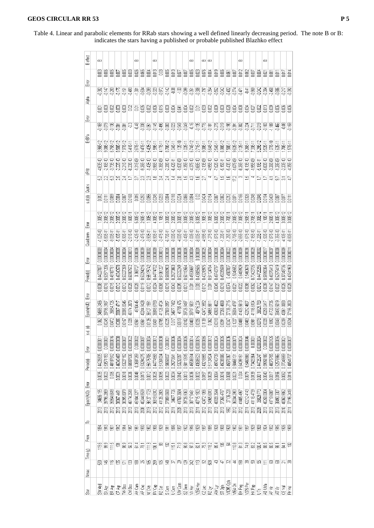| Table 4. Linear and parabolic elements for RRab stars showing a well defined linearly decreasing period. The note B or B: |  |
|---------------------------------------------------------------------------------------------------------------------------|--|
| indicates the stars having a published or probable published Blazhko effect                                               |  |

| B effect         | άó         |                      |                                                                            |                                                                                                                                                                                                                                       |                         |            | نت                                                                                                                                                                                                                                                                                                                                                                                     |                         |                         | نت                                                        |            |               |             |                                |               | άó               |                                                                                                                                                                                                                                                                                                                                    | άó                             | άó         |             |                                                                           |                            |            | نت                             |            |                                      |                                                 | نت                                          |               |             |                      |            |
|------------------|------------|----------------------|----------------------------------------------------------------------------|---------------------------------------------------------------------------------------------------------------------------------------------------------------------------------------------------------------------------------------|-------------------------|------------|----------------------------------------------------------------------------------------------------------------------------------------------------------------------------------------------------------------------------------------------------------------------------------------------------------------------------------------------------------------------------------------|-------------------------|-------------------------|-----------------------------------------------------------|------------|---------------|-------------|--------------------------------|---------------|------------------|------------------------------------------------------------------------------------------------------------------------------------------------------------------------------------------------------------------------------------------------------------------------------------------------------------------------------------|--------------------------------|------------|-------------|---------------------------------------------------------------------------|----------------------------|------------|--------------------------------|------------|--------------------------------------|-------------------------------------------------|---------------------------------------------|---------------|-------------|----------------------|------------|
|                  |            | <u>g g</u>           |                                                                            | 旨意                                                                                                                                                                                                                                    | e e                     |            |                                                                                                                                                                                                                                                                                                                                                                                        |                         |                         |                                                           |            |               |             |                                |               |                  |                                                                                                                                                                                                                                                                                                                                    |                                |            |             |                                                                           |                            |            |                                |            |                                      |                                                 | <u>gggggggggggggggggggggggggggg</u>         |               |             |                      |            |
| Èm               |            | 0.382<br>ਹਵਾ         |                                                                            | <u>- 2019 - 2019 - 2019 - 2019 - 2019 - 2019 - 2019 - 2019 - 2019 - 2019 - 2019 - 2019 - 2019 - 2019 - 2019 - 20</u><br>2019 - 2020 - 2020 - 2020 - 2020 - 2020 - 2020 - 2020 - 2020 - 2020 - 2020 - 2020 - 2020 - 2020 - 2020 - 2020 |                         |            |                                                                                                                                                                                                                                                                                                                                                                                        |                         |                         |                                                           |            |               |             |                                |               |                  |                                                                                                                                                                                                                                                                                                                                    |                                |            |             |                                                                           |                            |            |                                |            |                                      |                                                 |                                             |               |             |                      |            |
| Alpha            |            |                      | 888888888888888888888888888888888                                          |                                                                                                                                                                                                                                       |                         |            |                                                                                                                                                                                                                                                                                                                                                                                        |                         |                         |                                                           |            |               |             |                                |               |                  |                                                                                                                                                                                                                                                                                                                                    |                                |            |             |                                                                           |                            |            |                                |            |                                      |                                                 |                                             |               |             |                      |            |
| Error            |            |                      |                                                                            |                                                                                                                                                                                                                                       |                         | Ş          |                                                                                                                                                                                                                                                                                                                                                                                        |                         |                         |                                                           |            |               |             |                                |               |                  |                                                                                                                                                                                                                                                                                                                                    |                                |            |             |                                                                           |                            |            |                                |            |                                      |                                                 |                                             |               |             |                      |            |
| ErBra            |            | 특응                   |                                                                            | e e<br>S                                                                                                                                                                                                                              | g                       |            |                                                                                                                                                                                                                                                                                                                                                                                        |                         |                         |                                                           |            |               |             |                                |               |                  |                                                                                                                                                                                                                                                                                                                                    |                                |            |             |                                                                           |                            |            |                                |            |                                      |                                                 |                                             |               |             |                      |            |
|                  |            | 3.96E-12<br>9.08E-12 | 6.75E-12                                                                   |                                                                                                                                                                                                                                       | 97E-12                  | 5.41E-11   | 2.67E-11                                                                                                                                                                                                                                                                                                                                                                               | $9.47E-11$              |                         | 5.8는 1<br>1.99는 11년<br>1.99는 11년<br>1.99년                 |            |               |             |                                | $102E-11$     |                  | 6746-12<br>2716-11<br>6646-12                                                                                                                                                                                                                                                                                                      |                                |            |             | 2545-11<br>6385-12<br>6385-12<br>52125-1385-11<br>5235-12<br>5235-12      |                            |            |                                |            |                                      |                                                 |                                             |               |             |                      |            |
|                  |            | 4,63E-10<br>2,16E-10 | 3,73E-10                                                                   | 22E.10                                                                                                                                                                                                                                | 2.21E-10                | 8,23E-10   | 1.31E-09                                                                                                                                                                                                                                                                                                                                                                               | $9.26E-10$              |                         | $-1.40E + 10$<br>$-3.96E + 10$                            | 1.365.09   | $-2.28E - 10$ |             | $-6.42E-11$<br>$-1.50E-09$     | $-1.35E + 10$ |                  | 4.37E-10                                                                                                                                                                                                                                                                                                                           | $-2.13E - 10$<br>$-4.95E - 10$ |            |             | 7,525.10<br>5,155.10<br>5,435.10<br>-1,075.09                             |                            |            | $-8.365 + 10$<br>$-6.135 + 10$ |            | $-1.95E.09$                          | $5.19E-11$                                      | $-5.00E - 10$                               | $-3.26E - 09$ | $-1.28E.09$ | $-2.20E+10$          | 4.35E-10   |
| ₹g               |            |                      |                                                                            |                                                                                                                                                                                                                                       |                         |            |                                                                                                                                                                                                                                                                                                                                                                                        |                         |                         |                                                           |            |               |             | 28                             | 은             | ្ន               |                                                                                                                                                                                                                                                                                                                                    | a                              |            | ₽           | 뽄                                                                         | $\frac{16}{12}$            |            |                                | 쁰          |                                      |                                                 |                                             |               |             |                      |            |
| s.d.(d) Quots    |            | $\frac{2}{2}$        | 3.008                                                                      | ğ                                                                                                                                                                                                                                     | 000                     | 0.0168     | 0.015                                                                                                                                                                                                                                                                                                                                                                                  |                         |                         |                                                           |            |               |             |                                |               |                  |                                                                                                                                                                                                                                                                                                                                    |                                |            |             |                                                                           |                            |            |                                |            |                                      |                                                 | <u>gegegegegegegegegegegegegegeg</u>        |               | 0.0087      | e<br>Sant            |            |
|                  |            |                      | $100E-12$                                                                  | $100E-12$                                                                                                                                                                                                                             | $2.00E-12$              | 1,605.11   | 5.00E-12                                                                                                                                                                                                                                                                                                                                                                               |                         |                         | 2506-11<br>1.006-12<br>1.1.006-12<br>1.006-12<br>3.006-12 |            |               |             |                                | $3.00E-12$    |                  |                                                                                                                                                                                                                                                                                                                                    |                                |            |             |                                                                           |                            |            |                                |            |                                      |                                                 |                                             | 15005-11      | $4.00E42$   | 3.00E-12<br>3.00E-12 |            |
| È                |            | 1.02E-10<br>5.80E-11 | $900E-11$                                                                  | D.10E-11                                                                                                                                                                                                                              | 5,90E-11                | 2.51E-10   | $-2.42E - 10$                                                                                                                                                                                                                                                                                                                                                                          |                         |                         | $-2475 - 11$<br>$-3.905 - 11$<br>$-3.905 - 11$            | 347E-10    | 6.70E-11      |             | $-4.00E - 12$<br>$-4.00E - 10$ | 3.405-11      |                  | $\begin{array}{ll} 10 & 0 & 0 \\ 0 & 0 & 0 \\ 0 & 0 & 0 \\ 0 & 0 & 0 \\ 0 & 0 & 0 \\ 0 & 0 & 0 \\ 0 & 0 & 0 \\ 0 & 0 & 0 \\ 0 & 0 & 0 \\ 0 & 0 & 0 \\ 0 & 0 & 0 \\ 0 & 0 & 0 \\ 0 & 0 & 0 \\ 0 & 0 & 0 & 0 \\ 0 & 0 & 0 & 0 \\ 0 & 0 & 0 & 0 \\ 0 & 0 & 0 & 0 \\ 0 & 0 & 0 & 0 & 0 \\ 0 & 0 & 0 & 0 & 0 \\ 0 & 0 & 0 & 0 & 0 \\ 0$ |                                |            |             |                                                                           |                            |            | $-2.66E-10$                    |            | 16254<br>77.6541<br>17.654           |                                                 |                                             | 7.87E-10      |             | 4.10E-11<br>880E-11  |            |
| Quad.term        |            |                      |                                                                            |                                                                                                                                                                                                                                       |                         |            |                                                                                                                                                                                                                                                                                                                                                                                        |                         |                         |                                                           |            |               |             |                                |               |                  |                                                                                                                                                                                                                                                                                                                                    |                                |            |             |                                                                           |                            |            |                                |            |                                      |                                                 |                                             |               |             |                      |            |
| Emor             | 0.0000003  | 0.0000004            | 0.000000                                                                   |                                                                                                                                                                                                                                       | <b>LOODDOOL</b>         | 1,0000013  | $0.0000006$                                                                                                                                                                                                                                                                                                                                                                            | 0.0000039               | $0.0000002$             | 0.0000009                                                 | 0.0000013  | 0.0000005     | $0.0000006$ | 0.0000036                      | 0.0000005     | 0.0000004        | 0.000000                                                                                                                                                                                                                                                                                                                           | 0.0000025                      | 0.0000004  | $0.0000006$ | 0.0000004                                                                 | 0.0000022                  | 0.0000006  | 0.0000009                      | 0.0000036  |                                      | $0.0000028$<br>$0.0000002$                      | 0.0000017                                   | 0.0000037     | 0.0000008   | 0.0000008            | 0.00000    |
| Period(d)        | 0.44227077 | 0.53571206           | 0.48187761                                                                 | 1.46340578                                                                                                                                                                                                                            | 0.5327269<br>0.60007572 |            | $0.368727$                                                                                                                                                                                                                                                                                                                                                                             | 0.53294216              |                         | 0.55175742                                                | 0.51061227 | 0.58658903    | 0.2927363   | 0.53232249                     | 0.50113594    | 0.45536897       | 0.43605565                                                                                                                                                                                                                                                                                                                         | $0.43218975$<br>$0.51124764$   |            | 0.49743797  | 0.4503599                                                                 | $0.4587837$<br>$0.5046552$ |            | 0.6409929                      | 0.5460678  | 0.73423705                           |                                                 | 0.59958364                                  | 0.48376413    | 0.52579419  | 0.37048736           | 0.40541963 |
|                  |            | <b>ge</b>            | 0.0015                                                                     | 0.0012                                                                                                                                                                                                                                | 0.0012                  | 0.0028     | 0.0028                                                                                                                                                                                                                                                                                                                                                                                 | 0.0119                  | $\frac{0.0012}{0.0024}$ |                                                           | 0.0065     | 0.0015        | 0.0043      | 0.0095                         | 0003          | $\overline{\Xi}$ | 0.003                                                                                                                                                                                                                                                                                                                              | $\frac{5}{2}$                  |            | 0.0045      | 0.0018                                                                    | $\frac{1}{2}$              |            | 0.0022                         | 0.008      |                                      | $\begin{array}{c} 0.0062 \\ 0.0012 \end{array}$ | 0.0039                                      | 0.0147        | $0.0027$    | 0.0026               | 0.0028     |
| Epoch(HJD) Error | 34686.2466 | 39796.3167           | 3664.725                                                                   | 38067.4717                                                                                                                                                                                                                            | 38395.8345              | 46174.2873 | 45104.45                                                                                                                                                                                                                                                                                                                                                                               | 40244.9428              | 36127.1991              | 3618.6783                                                 | 41126.4724 | 37809.0957    | 34677.7482  | 41769.475                      | 39726.9497    | 38717.5831       | 40715.224                                                                                                                                                                                                                                                                                                                          | 42472.3552                     | 34965.6611 | 40928.4822  | 37266.4868                                                                | 37136.2715                 | 36034,4797 | 41405.5613                     | 42212.4607 | 4116.6104                            | 3629.783                                        | 40258.0417                                  | 41720.0735    | 38490.5019  | 40061.0083           | 37196.2803 |
| s.d. (0)         |            |                      | 0.0472                                                                     |                                                                                                                                                                                                                                       | <b>GROT</b>             | 0.028      |                                                                                                                                                                                                                                                                                                                                                                                        |                         |                         | esia<br>Oleh 28<br>Oleh 29                                | 0.0785     |               |             |                                | 0.0102        |                  |                                                                                                                                                                                                                                                                                                                                    |                                |            |             | 88<br>0887<br>0127                                                        |                            |            |                                |            | <b>B</b><br><b>B</b><br>COMB<br>COMB |                                                 | 0.0328                                      | 0.1692        |             | 0.0848<br>0.0239     | 0.0524     |
|                  | 0.0000001  | <b>DODODO</b>        | <b>D.COOLDOOTE</b>                                                         |                                                                                                                                                                                                                                       |                         |            |                                                                                                                                                                                                                                                                                                                                                                                        | 0.000008                |                         | 0.00000012                                                | 0.000003   | 0.000000      | 0.0000006   | 0.0000094                      | 0.0000005     | 0.00000014       | 0.00000015                                                                                                                                                                                                                                                                                                                         | 0.0000065                      | 0.0000012  | 0.000002    | 0.0000005                                                                 | 0.0000036                  | 0.0000073  | 0.0000024                      | 0.0000046  | 0.00000                              | 0.000000                                        | 0.0000002                                   | 0.0000125     | 0.0000065   | 0.000002             | 0.000003   |
| Èĭ               |            |                      |                                                                            |                                                                                                                                                                                                                                       |                         |            |                                                                                                                                                                                                                                                                                                                                                                                        |                         |                         |                                                           |            |               |             |                                |               |                  |                                                                                                                                                                                                                                                                                                                                    |                                |            |             |                                                                           |                            |            |                                |            |                                      |                                                 |                                             |               |             |                      |            |
| Period(d)        | 0.44226835 | 0.53571193           | 0.48187612                                                                 | 0.46340469                                                                                                                                                                                                                            |                         | 0.60907536 | 0.3687259                                                                                                                                                                                                                                                                                                                                                                              | 0.53294275              | 0.55175706              | 0.44774558                                                | 0.51061034 | 0.58658837    | 0.29273841  | 0.53232097                     | 0.50113515    | 0.45536514       | 0.43605523                                                                                                                                                                                                                                                                                                                         | 0.43218855                     | 0.51124524 | 0.49743739  | 0.45035586                                                                | 0.45878367                 | 0.50465131 | 0.64099151                     | 0.5460666  | 0.73423364                           | 0.44725247                                      | 0.59958186                                  | 0.48375755    | 0.52578966  | 0.37048659           | 0.40541737 |
|                  | 0.0036     | 0.0023               | ğ                                                                          | $\frac{1}{2}$                                                                                                                                                                                                                         | 0.0018                  | 0.0026     | 0.0048                                                                                                                                                                                                                                                                                                                                                                                 | $\overline{\text{max}}$ | 0.0012                  | 0.0025                                                    | 10005      | 0.0023        | 0.0034      | 0.0143                         | 0.0013        | $\frac{8}{2}$    | 0.003                                                                                                                                                                                                                                                                                                                              | 0067<br>0008                   |            |             | anga<br>0.006                                                             | $0.0068\,$                 | 0.027      | $\overline{\mathbb{B}}$        | 00079      | 0.0139                               | 0.0011                                          | $\frac{2}{3}$                               | 0.0317        | 0.0156      | $0.0062$             | port 6     |
| Epoch(HJD) Error | 34686.195  | 39796.2659           | 3584.6618                                                                  | 38067.4491                                                                                                                                                                                                                            | 38395.8079              | 46174.2518 | 45104.3277                                                                                                                                                                                                                                                                                                                                                                             | 40244.8539              | 36127.1723              | 36818.6312                                                | 41126.2805 | 37809.0658    | 34677.726   | 41769.3684                     | 39726.9363    | 38717.5461       | 40715.1923                                                                                                                                                                                                                                                                                                                         | 42472.1056                     | 34965.6013 | 40928.3544  | 37266.4767                                                                | 37136.228                  | 36034.2983 | 41405.4967                     | 42212.4143 | 4116.4739                            | 36829.773                                       | 40258.0004                                  | 41719.6887    | 38490.3307  | 40060.9862           | 37196.2418 |
|                  |            | ឌីឌី                 | $\frac{2}{2}$                                                              | 2013                                                                                                                                                                                                                                  | gg                      |            |                                                                                                                                                                                                                                                                                                                                                                                        |                         |                         | <b>ggggggggggg</b>                                        |            |               |             |                                |               | $\frac{1}{8}$    |                                                                                                                                                                                                                                                                                                                                    | $\frac{1}{2}$                  |            |             | <b>gggggggggg</b>                                                         |                            |            |                                |            |                                      |                                                 |                                             | 2013          | 2013        | 2010                 | 2011       |
| $\approx$        |            |                      |                                                                            |                                                                                                                                                                                                                                       |                         |            |                                                                                                                                                                                                                                                                                                                                                                                        |                         |                         |                                                           |            |               |             |                                |               |                  |                                                                                                                                                                                                                                                                                                                                    |                                |            |             |                                                                           |                            |            |                                |            |                                      |                                                 |                                             |               |             |                      |            |
| Time (y) From    |            |                      | $\frac{25}{2}$ $\frac{25}{2}$ $\frac{25}{2}$ $\frac{25}{2}$ $\frac{25}{2}$ |                                                                                                                                                                                                                                       |                         |            |                                                                                                                                                                                                                                                                                                                                                                                        |                         |                         | <b>SSSSSS</b>                                             |            |               |             |                                |               |                  |                                                                                                                                                                                                                                                                                                                                    |                                |            |             |                                                                           |                            |            |                                |            |                                      |                                                 | 8 8 5 2 3 3 3 4 5 6 5 6 7 8 9 8 9 8 8 8 8 7 |               |             |                      | $\Xi$      |
|                  |            |                      | 53. 电传承功能 医阴道 医阴道 医阴道 医心室 医血管 医血管 医血管 医血管                                  |                                                                                                                                                                                                                                       |                         |            |                                                                                                                                                                                                                                                                                                                                                                                        |                         |                         |                                                           |            |               |             |                                |               |                  |                                                                                                                                                                                                                                                                                                                                    |                                |            |             |                                                                           |                            |            |                                |            |                                      |                                                 |                                             |               |             |                      |            |
| Nmax             |            |                      |                                                                            |                                                                                                                                                                                                                                       |                         |            |                                                                                                                                                                                                                                                                                                                                                                                        |                         |                         |                                                           |            |               |             |                                |               |                  |                                                                                                                                                                                                                                                                                                                                    |                                |            |             |                                                                           |                            |            |                                |            |                                      |                                                 |                                             |               |             |                      |            |
| 嘉                | W And      | XАqr                 |                                                                            | 호<br>여호<br>이후                                                                                                                                                                                                                         |                         | M Boo      | $\frac{1}{2}$<br>$\frac{1}{2}$<br>$\frac{1}{2}$<br>$\frac{1}{2}$<br>$\frac{1}{2}$<br>$\frac{1}{2}$<br>$\frac{1}{2}$<br>$\frac{1}{2}$<br>$\frac{1}{2}$<br>$\frac{1}{2}$<br>$\frac{1}{2}$<br>$\frac{1}{2}$<br>$\frac{1}{2}$<br>$\frac{1}{2}$<br>$\frac{1}{2}$<br>$\frac{1}{2}$<br>$\frac{1}{2}$<br>$\frac{1}{2}$<br>$\frac{1}{2}$<br>$\frac{1}{2}$<br>$\frac{1}{2}$<br>$\frac{1}{2}$<br> |                         |                         |                                                           |            |               |             |                                |               |                  | Cem<br>汉 논<br>경쟁 논                                                                                                                                                                                                                                                                                                                 | $22$ Lac                       |            |             | 22 Լyr<br>3M Lyr<br>3T Oph Oni<br>2004 Oni<br>3H Peg<br>3H K Pup<br>J Tri |                            |            |                                |            |                                      |                                                 | いい<br>こうしょうしょう しょうしょう                       |               |             | 医子宫                  |            |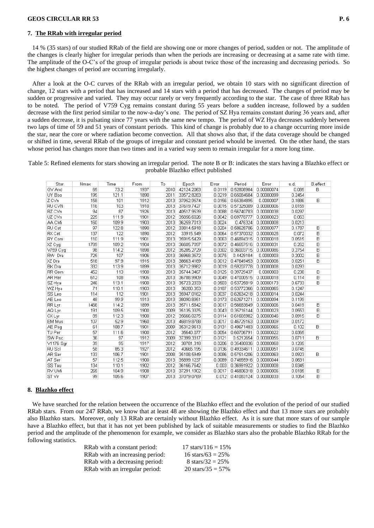#### **7. The RRab with irregular period**

 14 % (35 stars) of our studied RRab of the field are showing one or more changes of period, sudden or not. The amplitude of the changes is clearly higher for irregular periods than when the periods are increasing or decreasing at a same rate with time. The amplitude of the O-C's of the group of irregular periods is about twice those of the increasing and decreasing periods. So the highest changes of period are occurring irregularly.

 After a look at the O-C curves of the RRab with an irregular period, we obtain 10 stars with no significant direction of change, 12 stars with a period that has increased and 14 stars with a period that has decreased. The changes of period may be sudden or progressive and varied. They may occur rarely or very frequently according to the star. The case of three RRab has to be noted. The period of V759 Cyg remains constant during 55 years before a sudden increase, followed by a sudden decrease with the first period similar to the now-a-day's one. The period of SZ Hya remains constant during 36 years and, after a sudden decrease, it is pulsating since 77 years with the same new tempo. The period of WZ Hya decreases suddenly between two laps of time of 59 and 51 years of constant periods. This kind of change is probably due to a change occurring more inside the star, near the core or where radiation become convection. All that shows also that, if the data coverage should be changed or shifted in time, several RRab of the groups of irregular and constant period whould be inverted. On the other hand, the stars whose period has changes more than two times and in a varied way seem to remain irregular for a more long time.

## Table 5: Refined elements for stars showing an irregular period. The note B or B: indicates the stars having a Blazhko effect or probable Blazhko effect published

| Star          | Nmax | Time  | From | To   | Epoch      | Error  | Period     | Error      | s.d.   | B.effect   |
|---------------|------|-------|------|------|------------|--------|------------|------------|--------|------------|
| GV And        | 65   | 73.2  | 1937 | 2010 | 42124.2063 | 0.0119 | 0.52808984 | 0.00000074 | 0.085  | <b>B</b> : |
| UY Boo        | 195  | 121.1 | 1890 | 2011 | 33572.8283 | 0.0219 | 0.65084684 | 0.00000099 | 0.2454 |            |
| Z CVn         | 158  | 101   | 1912 | 2013 | 37952.9574 | 0.0156 | 0.65384895 | 0.0000007  | 0.1886 | B          |
| RU CVN        | 116  | 103   | 1910 | 2013 | 37619.7427 | 0.0015 | 0.57325009 | 0.00000006 | 0.0159 |            |
| RZ CVn        | 94   | 87    | 1926 | 2013 | 40517.9539 | 0.0088 | 0.56740783 | 0.00000038 | 0.0297 |            |
| UZ CVn        | 225  | 111.9 | 1901 | 2012 | 35856.6026 | 0.0042 | 0.69778777 | 0.00000023 | 0.063  |            |
| AA CMi        | 160  | 109.9 | 1903 | 2013 | 36259.7013 | 0.0024 | 0.476324   | 0.00000008 | 0.0213 |            |
| RU Cet        | 97   | 122.8 | 1890 | 2012 | 33814.5918 | 0.0204 | 0.58628706 | 0.00000077 | 0.1787 | В          |
| RX Cet        | 137  | 122   | 1890 | 2012 | 33915.549  | 0.0064 | 0.57370032 | 0.00000028 | 0.072  | B          |
| RY Com        | 110  | 111.9 | 1901 | 2013 | 35915.5429 | 0.0063 | 0.46894315 | 0.00000018 | 0.0515 | B          |
| XZ Cyg        | 1789 | 109.2 | 1904 | 2013 | 36605.7097 | 0.0072 | 0.46657516 | 0.00000031 | 0.262  | B          |
| V759 Cyg      | 98   | 114.2 | 1898 | 2012 | 35285.2729 | 0.0302 | 0.36003715 | 0.00000086 | 0.2754 | B          |
| RW Dra        | 725  | 107   | 1906 | 2013 | 36968.3572 | 0.0075 | 0.4429184  | 0.0000003  | 0.2002 | B          |
| XZ Dra        | 516  | 97.9  | 1915 | 2013 | 38663.4169 | 0.0012 | 0.47649453 | 0.00000006 | 0.0251 | B          |
| <b>BK</b> Dra | 332  | 113.9 | 1899 | 2013 | 35712.9982 | 0.0019 | 0.59207778 | 0.00000008 | 0.0293 |            |
| RR Gem        | 452  | 113   | 1900 | 2013 | 35744.3467 | 0.0125 | 0.39729437 | 0.0000003  | 0.238  | B          |
| AR Her        | 612  | 108   | 1905 | 2013 | 36788.9909 | 0.0049 | 0.47000515 | 0.00000018 | 0.114  | B          |
| SZ Hya        | 246  | 113.1 | 1900 | 2013 | 35723.2333 | 0.0503 | 0.53725819 | 0.00000173 | 0.6733 | B          |
| WZ Hya        | 71   | 110.1 | 1903 | 2013 | 36280.353  | 0.0187 | 0.53772366 | 0.00000065 | 0.1247 |            |
| SS Leo        | 114  | 112   | 1901 | 2013 | 35947.0162 | 0.0037 | 0.62634218 | 0.00000014 | 0.0244 |            |
| AE Leo        | 48   | 99.9  | 1913 | 2013 | 38090.8951 | 0.0173 | 0.62671271 | 0.00000094 | 0.1199 |            |
| RR Lyr        | 1466 | 114.2 | 1899 | 2013 | 35711.5842 | 0.0017 | 0.56683649 | 0.00000006 | 0.0419 | B          |
| AQ Lyr        | 191  | 109.5 | 1900 | 2009 | 35135.3375 | 0.0043 | 0.35716144 | 0.00000023 | 0.0553 | B          |
| CX Lyr        | 89   | 112.3 | 1900 | 2012 | 35666.0275 | 0.0114 | 0.61665982 | 0.00000046 | 0.0915 | B          |
| EM Mus        | 107  | 52.9  | 1960 | 2013 | 46819.8788 | 0.0017 | 0.46729163 | 0.00000009 | 0.0172 |            |
| AE Peg        | 61   | 108.7 | 1901 | 2009 | 35312.9613 | 0.0131 | 0.49671483 | 0.00000065 | 0.102  | B:         |
| TU Per        | 57   | 111.6 | 1900 | 2012 | 35640.077  | 0.0054 | 0.60706791 | 0.00000022 | 0.0365 |            |
| SW Psc        | 36   | 97    | 1912 | 2009 | 37399.3317 | 0.0121 | 0.5212654  | 0.00000055 | 0.0711 | B:         |
| V1176 Sgr     | 39   | 95    | 1917 | 2012 | 38781.318  | 0.0206 | 0.35480836 | 0.00000068 | 0.1285 |            |
| RU Scl        | 58   | 85.3  | 1927 | 2012 | 40665.195  | 0.0136 | 0.49334611 | 0.00000051 | 0.0745 |            |
| AR Ser        | 133  | 106.7 | 1901 | 2008 | 35108.5949 | 0.0086 | 0.57514206 | 0.00000063 | 0.0923 | B:         |
| AT Ser        | 57   | 112.5 | 1900 | 2013 | 35899.1237 | 0.0089 | 0.74655916 | 0.00000044 | 0.0631 |            |
| SS Tau        | 134  | 110.1 | 1902 | 2012 | 36166.7642 | 0.003  | 0.36991922 | 0.00000008 | 0.0345 |            |
| RV UMi        | 265  | 104.9 | 1908 | 2013 | 37291.1902 | 0.0017 | 0.46806318 | 0.00000006 | 0.0185 | B          |
| ST Vir        | 99   | 105.6 | 1907 | 2013 | 37079.0769 | 0.012  | 0.41083124 | 0.00000033 | 0.1054 | B          |

### **8. Blazhko effect**

 We have searched for the relation between the occurrence of the Blazhko effect and the evolution of the period of our studied RRab stars. From our 247 RRab, we know that at least 48 are showing the Blazhko effect and that 13 more stars are probably also Blazhko stars. Moreover, only 13 RRab are certainly without Blazhko effect. As it is sure that more stars of our sample have a Blazhko effect, but that it has not yet been published by lack of suitable measurements or studies to find the Blazhko period and the amplitude of the phenomenon for example, we consider as Blazhko stars also the probable Blazhko RRab for the following statistics.

| RRab with a constant period:    | 17 stars/116 = $15\%$ |
|---------------------------------|-----------------------|
| RRab with an increasing period: | 16 stars/63 = $25\%$  |
| RRab with a decreasing period:  | 8 stars/32 = $25\%$   |
| RRab with an irregular period:  | 20 stars/ $35 = 57\%$ |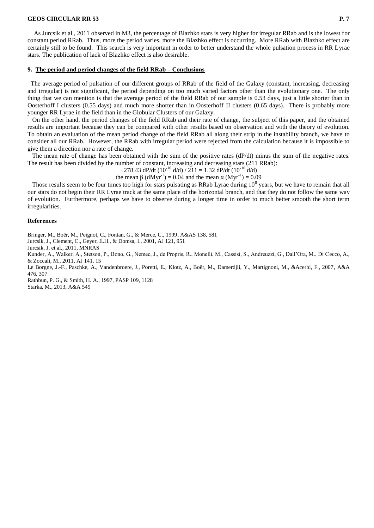As Jurcsik et al., 2011 observed in M3, the percentage of Blazhko stars is very higher for irregular RRab and is the lowest for constant period RRab. Thus, more the period varies, more the Blazhko effect is occurring. More RRab with Blazhko effect are certainly still to be found. This search is very important in order to better understand the whole pulsation process in RR Lyrae stars. The publication of lack of Blazhko effect is also desirable.

#### **9. The period and period changes of the field RRab – Conclusions**

 The average period of pulsation of our different groups of RRab of the field of the Galaxy (constant, increasing, decreasing and irregular) is not significant, the period depending on too much varied factors other than the evolutionary one. The only thing that we can mention is that the average period of the field RRab of our sample is 0.53 days, just a little shorter than in Oosterhoff I clusters (0.55 days) and much more shorter than in Oosterhoff II clusters (0.65 days). There is probably more younger RR Lyrae in the field than in the Globular Clusters of our Galaxy.

 On the other hand, the period changes of the field RRab and their rate of change, the subject of this paper, and the obtained results are important because they can be compared with other results based on observation and with the theory of evolution. To obtain an evaluation of the mean period change of the field RRab all along their strip in the instability branch, we have to consider all our RRab. However, the RRab with irregular period were rejected from the calculation because it is impossible to give them a direction nor a rate of change.

The mean rate of change has been obtained with the sum of the positive rates  $(dP/dt)$  minus the sum of the negative rates. The result has been divided by the number of constant, increasing and decreasing stars (211 RRab):

+278.43 dP/dt  $(10^{-10}$  d/d)  $/ 211 = 1.32$  dP/dt  $(10^{-10}$  d/d)

the mean  $\beta$  (dMyr<sup>-1</sup>) = 0.04 and the mean  $\alpha$  (Myr<sup>-1</sup>) = 0.09

Those results seem to be four times too high for stars pulsating as RRab Lyrae during  $10^8$  years, but we have to remain that all our stars do not begin their RR Lyrae track at the same place of the horizontal branch, and that they do not follow the same way of evolution. Furthermore, perhaps we have to observe during a longer time in order to much better smooth the short term irregularities.

#### **References**

Bringer, M., Boër, M., Peignot, C., Fontan, G., & Merce, C., 1999, A&AS 138, 581

Jurcsik, J., Clement, C., Geyer, E.H., & Domsa, I., 2001, AJ 121, 951

Jurcsik, J. et al., 2011, MNRAS

Kunder, A., Walker, A., Stetson, P., Bono, G., Nemec, J., de Propris, R., Monelli, M., Cassisi, S., Andreuzzi, G., Dall'Ora, M., Di Cecco, A., & Zoccali, M., 2011, AJ 141, 15

Le Borgne, J.-F., Paschke, A., Vandenbroere, J., Poretti, E., Klotz, A., Boër, M., Damerdjii, Y., Martignoni, M., &Acerbi, F., 2007, A&A 476, 307

Rathbun, P. G., & Smith, H. A., 1997, PASP 109, 1128 Starka, M., 2013, A&A 549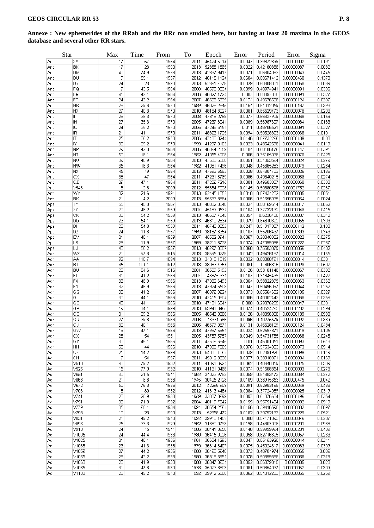## **Annexe : New ephemerides of the RRab and the RRc non studied here, but having at least 20 maxima in the GEOS database and several other RR stars.**

|     | <b>Star</b>      | Max | Time  | From | To   | Epoch      | Error  | Period              | Error      | Sigma  |
|-----|------------------|-----|-------|------|------|------------|--------|---------------------|------------|--------|
| And | XY               | 17  | 57    | 1954 | 2011 | 45424.5014 | 0.0047 | 0.39872899          | 0.0000002  | 0.0191 |
| And | ΒK               | 17  | 23    | 1990 | 2013 | 52355.1565 | 0.0022 | 0.42160388          | 0.00000037 | 0.0082 |
| And | DM               | 40  | 74.9  | 1938 | 2013 | 42837.9417 | 0.0071 | 0.6304083           | 0.00000043 | 0.0445 |
| And | DU               | 9   | 55.1  | 1957 | 2012 | 46115.1124 | 0.0604 | 0.60671412          | 0.00000468 | 0.1373 |
| And | DY               | 24  | 23    | 1990 | 2013 | 52361.7378 | 0.0029 | 0.60308001          | 0.00000058 | 0.0089 |
| And | FQ               | 19  | 43.5  | 1964 | 2008 | 46593.8834 | 0.0099 | 0.48974941          | 0.00000091 | 0.0306 |
| And | FR               | 41  | 42.1  | 1964 | 2006 | 46327.1724 | 0.007  | 0.50397885          | 0.00000091 | 0.0327 |
| And | FT               | 24  | 43.2  | 1964 | 2007 | 46525.6635 | 0.0174 | 0.49676526          | 0.00000124 | 0.0397 |
| And | HK               | 28  | 29.6  | 1970 | 1999 | 46028.2645 | 0.0154 | 0.51012059          | 0.00000167 | 0.0393 |
| And | НX               | 27  | 40.3  | 1970 | 2010 | 48184.8027 | 0.0081 | 0.65529773          | 0.00000078 | 0.0296 |
| And | Ш                | 26  | 38.3  | 1970 | 2008 | 47818.2769 | 0.0077 | 0.56327909          | 0.00000068 | 0.0159 |
| And | IN               | 29  | 35.3  | 1970 | 2005 | 47267.3041 | 0.0089 | 0.56987607          | 0.00000084 | 0.0183 |
| And | IQ               | 24  | 35.2  | 1970 | 2005 | 47248.6151 | 0.011  | 0.48706521          | 0.00000091 | 0.0227 |
| And | IR               | 21  | 41.1  | 1970 | 2011 | 48326.1725 | 0.0094 | 0.50528823          | 0.00000068 | 0.0191 |
| And | IT               | 25  | 36.2  | 1970 | 2006 | 47433.8244 | 0.0146 | 0.57732266          | 0.00000139 | 0.03   |
| And | IY               | 30  | 29.2  | 1970 | 1999 | 41297.9103 | 0.0023 | 0.48542596          | 0.00000041 | 0.0119 |
| And | NR               | 29  | 42.3  | 1964 | 2006 | 46364.2859 | 0.0104 | 0.68186176          | 0.00000147 | 0.0391 |
| And | ΝT               | 50  | 18.1  | 1964 | 1982 | 41955.4208 | 0.006  | 0.35165968          | 0.00000076 | 0.0425 |
| And | NU               | 39  | 48.9  | 1964 | 2013 | 47583.5308 | 0.0051 | 0.31353564          | 0.00000024 | 0.0279 |
| And | <b>NW</b>        | 35  | 18.3  | 1964 | 1982 | 41981.7496 | 0.0048 | 0.45365283          | 0.00000079 | 0.0284 |
| And | ΝX               | 45  | 49    | 1964 | 2013 | 47593.6582 | 0.0028 | 0.64804703          | 0.00000026 | 0.0186 |
| And | ОX               | 38  | 47    | 1964 | 2011 | 47261.6769 | 0.0066 | 0.49340215          | 0.00000056 | 0.0274 |
| And | OZ               | 29  | 47.1  | 1964 | 2011 | 47236.7215 | 0.0081 | 0.49603007          | 0.00000068 | 0.0308 |
| And | $\sqrt{548}$     | 5   | 2.8   | 2009 | 2012 | 55654.7028 | 0.0145 | 0.50680526          | 0.00001752 | 0.0287 |
| Ant | WY               | 32  | 21.6  | 1991 | 2013 | 52445.1052 | 0.0018 | 0.57434282          | 0.00000035 | 0.0051 |
| Ant | BK               | 21  | 4.2   | 2009 | 2013 | 55636.3884 | 0.0006 | 0.51656965          | 0.00000054 | 0.0024 |
| Aps | TΥ               | 55  | 45.8  | 1967 | 2013 | 48082.0046 | 0.0024 | 0.50169514          | 0.00000017 | 0.0062 |
| Aps | ZZ               | 20  | 48.2  | 1959 | 2007 | 45489.0537 | 0.0104 | 0.37732162          | 0.00000046 | 0.0415 |
| Aps | CK               | 33  | 54.2  | 1959 | 2013 | 46587.7345 | 0.0054 | 0.6236488           | 0.00000037 | 0.0312 |
| Aps | <b>DD</b>        | 26  | 54.1  | 1959 | 2013 | 46610.2834 | 0.0079 | 0.64810622          | 0.00000055 | 0.0396 |
| Aps | DI               | 20  | 54.8  | 1959 | 2014 | 46743.3052 | 0.0247 | 0.51917827          | 0.00000142 | 0.108  |
| Aps | DZ               | 24  | 11.8  | 1957 | 1969 | 38187.6354 | 0.0107 | 0.55206437          | 0.00000393 | 0.0346 |
| Aps | EV               | 21  | 48.1  | 1959 | 2007 | 45502.8941 | 0.0067 | 0.28340082          | 0.00000022 | 0.0275 |
|     | LS               | 26  | 11.9  | 1957 | 1969 | 38211.3728 | 0.0074 | 0.47099066          | 0.00000227 | 0.0237 |
| Aps | LU               | 43  | 56.2  | 1957 | 2013 | 46297.8807 | 0.0068 | 0.75503379          | 0.00000056 | 0.0402 |
| Aps |                  |     |       |      |      |            |        |                     |            |        |
| Aqr | WZ               | 21  | 97.8  | 1915 | 2013 | 38595.0279 | 0.0042 | 0.49426187          | 0.00000014 | 0.0155 |
| Aqr | AA               | 92  | 118.7 | 1894 | 2013 | 34815.1319 | 0.0032 | 0.60888791          | 0.00000014 | 0.0301 |
| Aqr | BT               | 45  | 101.1 | 1912 | 2013 | 38083.4654 | 0.0081 | 0.406815            | 0.00000029 | 0.0502 |
| Aqr | BU               | 20  | 84.6  | 1916 | 2001 | 36529.5192 | 0.0126 | 0.53101146          | 0.00000067 | 0.0392 |
| Aqr | FU               | 31  | 41.2  | 1966 | 2007 | 46875.631  | 0.0107 | 0.31845439          | 0.00000069 | 0.0422 |
| Aqr | FX               | 33  | 46.9  | 1966 | 2013 | 47932.6493 | 0.0064 | 0.58822395          | 0.00000063 | 0.0362 |
| Aqr | FY               | 32  | 46.9  | 1966 | 2013 | 47924.5508 | 0.0047 | 0.50496097          | 0.00000044 | 0.0252 |
| Aqr | GG               | 30  | 41.2  | 1966 | 2007 | 46876.0624 | 0.0073 | 0.65564632          | 0.00000105 | 0.0329 |
| Aqr | GL               | 30  | 44.1  | 1966 | 2010 | 47415.0804 | 0.0086 | 0.40002443          | 0.00000068 | 0.0356 |
| Aqr | GO               | 40  | 44.1  | 1966 | 2010 | 47431.6544 | 0.008  | 0.29376259          | 0.00000047 | 0.0331 |
| Aqr | GP               | 19  | 14.1  | 1999 | 2013 | 53941.6465 | 0.0074 | 0.40524263          | 0.00000232 | 0.0294 |
| Aqr | GQ               | 31  | 39.2  | 1966 | 2005 | 46546.0388 | 0.0126 | 0.48356826          | 0.00000139 | 0.0538 |
| Aqr | GR               | 27  | 39.8  | 1966 | 2006 | 46631.986  | 0.0096 | 0.40275579          | 0.00000092 | 0.0389 |
| Aqr | GU               | 30  | 40.1  | 1966 | 2006 | 46679.9871 | 0.0131 | 0.46528109          | 0.00000124 | 0.0484 |
| Aqr | GW               | 19  | 47.1  | 1966 | 2013 | 47967.5951 |        | $0.0024$ 0.52597871 | 0.00000019 | 0.0105 |
| Aqr | GХ               | 25  | 54    | 1951 | 2005 | 43759.5757 | 0.0049 | 0.54731785          | 0.00000068 | 0.0245 |
| Aqr | GΥ               | 30  | 45.1  | 1966 | 2011 | 47606.6845 | 0.01   | 0.46001051          | 0.00000093 | 0.0513 |
| Aqr | HH               | 53  | 44    | 1966 | 2010 | 47388.7865 | 0.0076 | 0.57534053          | 0.00000073 | 0.0514 |
| Aqr | ОХ               | 21  | 14.2  | 1999 | 2013 | 54003.1062 | 0.0039 | 0.52891925          | 0.00000099 | 0.0119 |
| Aql | CH               | 7   | 54    | 1957 | 2011 | 45912.3638 | 0.0077 | 0.38918871          | 0.0000004  | 0.0169 |
| Aql | V518             | 40  | 79.2  | 1932 | 2011 | 41391.6924 | 0.0062 | 0.40640859          | 0.00000025 | 0.0389 |
| Aql | V <sub>525</sub> | 15  | 77.9  | 1932 | 2010 | 41161.9468 | 0.0074 | 0.51568854          | 0.0000003  | 0.0273 |
|     | V651             | 30  | 21.5  | 1941 | 1962 | 34023.9783 | 0.0059 | 0.51883472          | 0.00000084 | 0.0272 |
| Aql | V668             | 21  |       | 1938 | 1945 | 30405.2128 | 0.0109 | 0.38915653          | 0.00000475 | 0.042  |
| Aql |                  |     | 6.8   |      |      |            |        |                     |            |        |
| Aql | V672             | 50  | 76.3  | 1936 | 2012 | 42296.909  | 0.0091 | 0.52983168          | 0.00000049 | 0.0488 |
| Aql | V706             | 15  | 80    | 1932 | 2012 | 41616.4484 | 0.0084 | 0.37724089          | 0.00000025 | 0.0319 |
| Aql | V741             | 20  | 20.9  | 1938 | 1959 | 33007.0699 | 0.0097 | 0.61076604          | 0.00000196 | 0.0354 |
| Aql | V751             | 36  | 71.9  | 1932 | 2004 | 40119.7242 | 0.0155 | 0.55751454          | 0.00000092 | 0.0919 |
| Aql | V779             | 35  | 60.1  | 1934 | 1994 | 38554.2561 | 0.0156 | 0.39416598          | 0.00000082 | 0.0897 |
| Aql | V793             | 10  | 23    | 1990 | 2013 | 52358.472  | 0.0182 | 0.39792133          | 0.00000229 | 0.0521 |
| Aql | V831             | 21  | 49.2  | 1943 | 1992 | 39913.1452 | 0.008  | 0.57171893          | 0.00000076 | 0.0287 |
| Aql | V896             | 25  | 33.3  | 1929 | 1962 | 31880.0798 | 0.0198 | 0.44307006          | 0.00000202 | 0.0988 |
| Aql | V910             | 24  | 45    | 1941 | 1986 | 38441.3958 | 0.0148 | 0.99999994          | 0.00000231 | 0.0489 |
| Aql | V1005            | 24  | 44.4  | 1936 | 1980 | 36415.9026 | 0.0058 | 0.62716825          | 0.00000057 | 0.0266 |
| Aql | V1025            | 21  | 45.1  | 1936 | 1981 | 36604.1293 | 0.0047 | 0.55153928          | 0.00000044 | 0.0211 |
| Aql | V1035            | 26  | 41.3  | 1938 | 1979 | 36614.8407 | 0.0075 | 0.45024317          | 0.00000063 | 0.0309 |
| Aql | V1059            | 27  | 44.2  | 1936 | 1980 | 36460.5646 | 0.0072 | 0.48784974          | 0.00000065 | 0.036  |
| Aql | V1065            | 26  | 42.2  | 1938 | 1980 | 36816.5951 | 0.0078 | 0.50899368          | 0.00000068 | 0.0379 |
| Aql | V1068            | 20  | 41.9  | 1938 | 1980 | 36847.0634 | 0.0052 | 0.56379015          | 0.0000005  | 0.023  |
|     | V1085            | 31  | 47.8  | 1930 | 1978 | 35023.8803 | 0.0061 | 0.50854067          | 0.00000052 | 0.0309 |
| Aql |                  |     |       |      |      |            |        |                     |            |        |
| Aql | V1100            | 23  | 49.2  | 1943 | 1992 | 39912.6506 | 0.0062 | 0.54012203          | 0.00000055 | 0.0259 |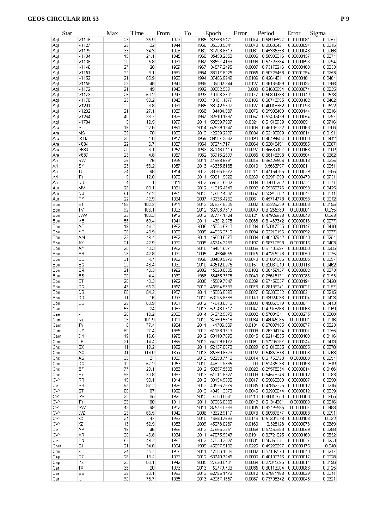| Star |                        | Max | Time         | From | To   | Epoch           | Error  | Period     | Error      | Sigma  |
|------|------------------------|-----|--------------|------|------|-----------------|--------|------------|------------|--------|
| Aql  | V1118                  | 23  | 35.9         | 1929 | 1965 | 32383.9471      | 0.0074 | 0.58908527 | 0.00000081 | 0.0257 |
| Aql  | V1127                  | 29  | 22           | 1944 | 1966 | 35338.9041      | 0.0073 | 0.35600421 | 0.00000094 | 0.0315 |
| Aql  | V1129                  | 33  | 34.3         | 1928 | 1962 | 31703.6819      | 0.0061 | 0.45365353 | 0.00000048 | 0.0266 |
| Aql  | V1134                  | 19  | 21.1         | 1945 | 1966 | 35498.2358      | 0.0086 | 0.50902016 | 0.00000157 | 0.0274 |
| Aql  | V1136                  | 20  | 5.8          | 1961 | 1967 | 38597.4166      | 0.0098 | 0.57726684 | 0.00000696 | 0.0294 |
| Aql  | V1146                  | 27  | 28           | 1939 | 1967 | 34577.2495      | 0.0087 | 0.73170216 | 0.00000183 | 0.0333 |
| Aql  | V1151                  | 22  | 3.1          | 1961 | 1964 | 38117.8225      | 0.0065 | 0.60729453 | 0.00001294 | 0.0253 |
| Aql  | V1152                  | 21  | 65.9         | 1928 | 1994 | 37486.9949      | 0.0106 | 0.42644811 | 0.00000101 | 0.0484 |
| Aql  | V1158                  | 23  | 48           | 1941 | 1989 | 39002.344       | 0.0127 | 0.66188489 | 0.00000137 | 0.0366 |
| Aql  | V1172                  | 21  | 49           | 1943 | 1992 | 39882.9691      | 0.008  | 0.54633654 | 0.00000074 | 0.0235 |
| Aql  | V1173                  | 25  | 50.2         | 1943 | 1993 | 40103.3701      | 0.0177 | 0.50304638 | 0.00000149 | 0.0578 |
| Aql  | V1178                  | 23  | 50.2         | 1943 | 1993 | 40101.1677      | 0.0106 | 0.60746995 | 0.00000102 | 0.0402 |
| Aql  | V1201                  | 22  | 3.8          | 1961 | 1965 | 38242.9702      | 0.0127 | 0.40018662 | 0.00001093 | 0.0522 |
| Aql  | V1232                  | 21  | 27.1         | 1939 | 1966 | 34404.087       | 0.0076 | 0.69993409 | 0.00000144 | 0.0216 |
| Aql  | V1264                  | 40  | 38.7         | 1928 | 1967 | 32610.1697      | 0.0057 | 0.52402479 | 0.00000054 | 0.0297 |
| Aql  | V1704                  | 5   | 12.5         | 1999 | 2011 | 53559.7937      | 0.0321 | 0.51515939 | 0.00000851 | 0.0716 |
| Ara  | S                      | 19  | 22.6         | 1991 | 2014 | 52629.1347      | 0.0106 | 0.45186332 | 0.00000168 | 0.0306 |
| Ara  | MS                     | 39  | 78           | 1935 | 2013 | 42239.2927      | 0.0034 | 0.52498669 | 0.00000014 | 0.0191 |
| Ara  | V387                   | 20  | 1.8          | 1957 | 1959 | 36507.2842      | 0.0198 | 0.40494964 | 0.00003003 | 0.0442 |
| Ara  | V634                   | 22  | 6.7          | 1957 | 1964 | 37274.7171      | 0.0064 | 0.62848491 | 0.00000565 | 0.0287 |
| Ara  | <b>V636</b>            | 20  | 6.1          | 1957 | 1963 | 37146.0419      | 0.0027 | 0.45589497 | 0.00000168 | 0.0109 |
| Ara  | V637                   | 23  | 4.8          | 1957 | 1962 | 36915.2899      | 0.0085 | 0.38148698 | 0.00000504 | 0.0382 |
| Ari  | RW                     | 26  | 76           | 1935 | 2011 | 41953.6691      | 0.0046 | 0.35428506 | 0.00000013 | 0.0225 |
| Ari  | SY                     | 23  | 56.2         | 1957 | 2013 | 46335.6165      | 0.0016 | 0.5666797  | 0.00000011 | 0.0051 |
| Ari  | TU                     | 24  | 98           | 1914 | 2012 | 38366.8672      | 0.0211 | 0.47164366 | 0.00000079 | 0.0885 |
| Ari  | TΥ                     | 9   | 12.8         | 1998 | 2011 | 53511.5522      | 0.0269 | 0.32971998 | 0.00000473 | 0.0731 |
| Ari  | CD                     | 4   | $\mathbf{1}$ | 2011 | 2012 | 56021.6682      | 0.004  | 0.32830252 | 0.00000771 | 0.0071 |
| Aur  | MV                     | 26  | 80.1         | 1931 | 2012 | 41315.4648      | 0.0092 | 0.55358776 | 0.00000058 | 0.0425 |
| Aur  | <b>NU</b>              | 61  | 47.2         | 1965 | 2013 | 47682.4387      | 0.0057 | 0.53940802 | 0.00000044 | 0.0141 |
| Aur  | PY                     | 22  | 42.9         | 1964 | 2007 | 46336.4262      | 0.0061 | 0.45714778 | 0.00000053 | 0.0212 |
| Boo  | ST                     | 156 | 102.2        | 1911 | 2013 | 37837.8005      | 0.002  | 0.62229229 | 0.00000008 | 0.0195 |
| Boo  | TV                     | 92  | 106.1        | 1906 | 2012 | 36708.7319      | 0.0049 | 0.31255989 | 0.0000001  | 0.035  |
| Boo  | <b>WW</b>              | 22  | 100.2        | 1912 | 2012 | 37777.1724      | 0.0121 | 0.47926938 | 0.00000043 | 0.053  |
| Boo  | AE                     | 58  | 69.4         | 1941 | 2011 | 43012.275       | 0.0038 | 0.31489342 | 0.00000013 | 0.0277 |
| Boo  | AF                     | 19  | 44.2         | 1962 | 2006 | 45834.6913      | 0.0204 | 0.53017025 | 0.00000147 | 0.0418 |
| Boo  | AG                     | 26  | 48.9         | 1956 | 2005 | 44536.2716      | 0.0094 | 0.52210196 | 0.00000092 | 0.0377 |
| Boo  | AM                     | 22  | 49.4         | 1962 | 2011 | 46688.6573      | 0.0084 | 0.46437942 | 0.00000048 | 0.0254 |
| Boo  | АX                     | 21  | 42.9         | 1962 | 2005 | 45644.3483      | 0.0197 | 0.58712898 | 0.0000016  | 0.0403 |
| Boo  | ļΑY                    | 20  | 48.3         | 1962 | 2010 | 46481.6871      | 0.0066 | 0.61433997 | 0.00000053 | 0.0255 |
| Boo  | <b>BB</b>              | 28  | 42.8         | 1962 | 2005 | 45646.55        | 0.0075 | 0.47275073 | 0.00000059 | 0.0275 |
| Boo  | BE                     | 31  | 4.4          | 1962 | 1966 | 38469.9979      | 0.0073 | 0.31061886 | 0.00000505 | 0.0397 |
| Boo  | BQ                     | 22  | 48.4         | 1962 | 2010 | 46512.0275      | 0.0151 | 0.62031019 | 0.00000118 | 0.0462 |
| Boo  | BR                     | 21  | 40.3         | 1962 | 2002 | 45020.5005      | 0.0182 | 0.30456127 | 0.00000082 | 0.0373 |
| Boo  | BS                     | 20  | 4.4          | 1962 | 1966 | 38465.3778      | 0.0043 | 0.29615171 | 0.00000283 | 0.0193 |
| Boo  | BT                     | 20  | 43.3         | 1962 | 2005 | 45569.7047      | 0.0209 | 0.67456027 | 0.00000194 | 0.0428 |
| Boo  | СQ                     | 47  | 55.3         | 1957 | 2012 | 45964.5733      | 0.0076 | 0.28188241 | 0.00000027 | 0.0197 |
| Boo  | $\mathbb{C}\mathbb{S}$ | 66  | 54.2         | 1957 | 2011 | 45806.0398      | 0.0027 | 0.55338322 | 0.00000021 | 0.0215 |
| Boo  | DD                     | 11  | 16           | 1996 | 2012 | 53095.6888      | 0.0143 | 0.33924236 | 0.00000204 | 0.0423 |
| Boo  | DG                     | 29  | 60.9         | 1951 |      | 2012 44943.6316 | 0.0083 | 0.45867519 | 0.00000041 | 0.0443 |
| Cae  | U                      | 53  | 24           | 1989 |      | 2013 52243.0717 | 0.0047 | 0.41978763 | 0.00000068 | 0.0169 |
| Cae  | V                      | 20  | 13.2         | 2000 |      | 2014 54272.9973 | 0.0082 | 0.57091041 | 0.00000275 | 0.0308 |
| Cam  | RZ                     | 25  | 101.9        | 1911 | 2012 | 37659.5818      | 0.0034 | 0.48045085 | 0.0000001  | 0.0116 |
| Cam  | TΥ                     | 8   | 77.4         | 1934 | 2011 | 41706.839       | 0.0131 | 0.67007155 | 0.00000077 | 0.0323 |
| Cam  | UΥ                     | 60  | 27.4         | 1985 |      | 2012 51183.1313 | 0.0009 | 0.26704174 | 0.00000007 | 0.0055 |
| Cam  | CN                     | 19  | 16.6         | 1995 | 2012 | 53110.7695      | 0.0045 | 0.62144535 | 0.00000103 | 0.0116 |
| Cam  | LP                     | 21  | 14.4         | 1999 |      | 2013 54009.8172 | 0.0091 | 0.57209387 | 0.00000244 | 0.0413 |
| Cnc  | <b>SX</b>              | 11  | 19.2         | 1992 | 2011 | 52137.0673      | 0.0029 | 0.51015935 | 0.00000055 | 0.0078 |
| Cnc  | AQ                     | 141 | 114.9        | 1899 | 2013 | 35650.6626      | 0.0022 | 0.54851846 | 0.00000008 | 0.0263 |
| Cnc  | AS.                    | 39  | 24           | 1989 | 2013 | 52258.7716      | 0.0014 | 0.61753723 | 0.0000003  | 0.0054 |
| Cnc  | СQ                     | 12  | 57.2         | 1953 | 2010 | 44827.9835      | 0.03   | 0.52465033 | 0.00000198 | 0.0819 |
| Cnc  | EF                     | 77  | 29.1         | 1983 | 2012 | 50697.5603      | 0.0022 | 0.29578034 | 0.00000014 | 0.0166 |
| Cnc  | EZ                     | 96  | 30.8         | 1983 | 2013 | 51011.8327      | 0.0009 | 0.54578246 | 0.00000012 | 0.0083 |
| CVn  | <b>RR</b>              | 19  | 98.1         | 1914 | 2012 | 38154.9095      | 0.0017 | 0.55860809 | 0.00000007 | 0.0058 |
| CVn  | <b>SS</b>              | 97  | 87.2         | 1926 | 2013 | 40536.7579      | 0.0035 | 0.47852325 | 0.00000012 | 0.0216 |
| CVn  | ST                     | 66  | 87           | 1926 | 2013 | 40491.3378      | 0.0045 | 0.32905644 | 0.00000012 | 0.0339 |
| CVn  | SV                     | 23  | 85           | 1928 | 2013 | 40860.841       | 0.0218 | 0.66811653 | 0.00000108 | 0.0665 |
| CVn  | TΥ.                    | 35  | 100          | 1911 | 2011 | 37386.0938      | 0.0042 | 0.51344561 | 0.0000003  | 0.0246 |
| CVn  | ۱W                     | 42  | 99           | 1912 | 2011 | 37574.0988      | 0.0105 | 0.42498595 | 0.0000004  | 0.0483 |
| CVn  | WZ                     | 23  | 65.5         | 1942 | 2008 | 42622.9117      | 0.0078 | 0.50939847 | 0.00000068 | 0.0291 |
| CVn  | IЖ                     | 24  | 47           | 1963 | 2010 | 46690.7593      | 0.0146 | 0.51301048 | 0.00000103 | 0.032  |
| CVn  | XZ                     | 13  | 52.9         | 1956 | 2009 | 45278.0237      | 0.0166 | 0.328128   | 0.00000073 | 0.0389 |
| CVn  | AP                     | 19  | 46           | 1966 | 2012 | 47665.2851      | 0.0069 | 0.57463883 |            | 0.0288 |
|      |                        |     |              |      |      |                 |        |            | 0.00000059 |        |
| CVn  | AR                     | 20  | 46.8         | 1964 | 2011 | 47075.9949      | 0.0191 | 0.62721025 | 0.00000169 | 0.0532 |
| CVn  | BN                     | 62  | 49.2         | 1963 | 2012 | 47033.2827      | 0.0031 | 0.56363811 | 0.00000027 | 0.0233 |
| Cma  | GI                     | 21  | 34.8         | 1964 | 1999 | 45097.5102      | 0.0225 | 0.45223697 | 0.00000175 | 0.048  |
| Cmi  | X                      | 24  | 75.7         | 1936 | 2011 | 42086.1586      | 0.0082 | 0.57139578 | 0.00000048 | 0.0217 |
| Cap  | <b>RZ</b>              | 28  | 13.4         | 1999 | 2012 | 53740.7445      | 0.0006 | 0.40100716 | 0.00000017 | 0.0028 |
| Cap  | YZ                     | 23  | 63.1         | 1942 | 2005 | 27628.0481      | 0.0064 | 0.27345695 | 0.00000011 | 0.0196 |
| Car  | ΙX                     | 36  | 20           | 1993 | 2013 | 52779.706       | 0.0035 | 0.60113004 | 0.00000086 | 0.0125 |
| Car  | EE                     | 39  | 20.1         | 1993 |      | 2013 52795.1473 | 0.0012 | 0.67871188 | 0.00000029 | 0.0041 |
| Car  | ΙU                     | 90  | 78.7         | 1935 |      | 2013 42267.1657 | 0.0087 | 0.73708642 | 0.00000048 | 0.0621 |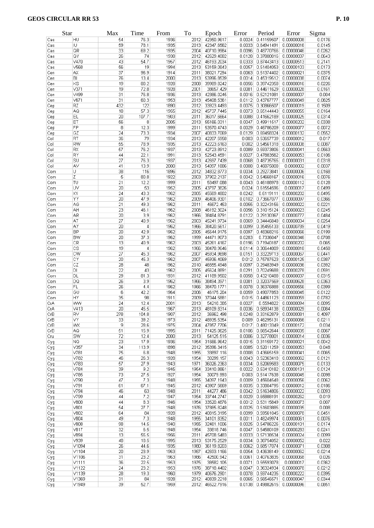|     | Star                   | Max             | Time       | From | To   | Epoch           | Error  | Period                       | Error      | Sigma  |
|-----|------------------------|-----------------|------------|------|------|-----------------|--------|------------------------------|------------|--------|
| Cas | HU                     | 54              | 76.3       | 1936 | 2012 | 42350.9617      | 0.0024 | 0.41159507                   | 0.00000008 | 0.0176 |
| Cas | IU.                    | 59              | 78.1       | 1935 | 2013 | 42347.6562      | 0.0033 | 0.64941491                   | 0.00000016 | 0.0145 |
| Cas | QR                     | 33              | 69.2       | 1935 | 2004 | 40710.9984      | 0.0096 | 0.48770766                   | 0.00000046 | 0.0262 |
| Cas | QY                     | 26              | 74         | 1938 | 2012 | 42629.4082      | 0.0128 | 0.37800016                   | 0.00000037 | 0.0643 |
| Cas | V470                   | 43              | 54.7       | 1957 | 2012 | 46193.2034      | 0.0333 | 0.87443413                   | 0.00000513 | 0.2141 |
| Cas | V568                   | 56              | 19         | 1994 | 2013 | 53159.0843      | 0.0057 | 0.51404053                   | 0.00000103 | 0.0173 |
| Cen | ΑX                     | 37              | 96.9       | 1914 | 2011 | 38021.7294      | 0.0063 | 0.51374402                   | 0.00000021 | 0.0375 |
| Cen | BI                     | 76              | 13.4       | 2000 | 2013 | 53996.8539      | 0.0014 | 0.45319512                   | 0.00000038 | 0.0074 |
| Cen | KS                     | 19              | 80.2       | 1928 | 2008 | 39989.8242      | 0.0056 | 0.39742358                   | 0.00000016 | 0.0226 |
| Cen | V371                   | 19              | 72.8       | 1928 | 2001 | 38657.429       | 0.0081 | 0.44611629                   | 0.00000028 | 0.0161 |
|     | V499                   | 31              | 76.8       | 1936 | 2013 | 42386.0245      | 0.0016 | 0.52121081                   |            | 0.004  |
| Cen |                        |                 |            |      |      |                 |        |                              | 0.00000007 |        |
| Cen | V671                   | 31              | 60.3       | 1953 | 2013 | 45408.5361      | 0.0112 | 0.43767777                   | 0.00000049 | 0.0625 |
| Cep | RZ                     | 432             | 122        | 1890 | 2012 | 33923.4493      | 0.0075 | 0.30866507                   | 0.00000019 | 0.1509 |
| Cep | AQ.                    | 18              | 57.3       | 1955 | 2012 | 45737.7445      | 0.0073 | 0.65144443                   | 0.00000055 | 0.0164 |
| Cep | EL                     | 20              | 107.7      | 1903 | 2011 | 36017.6664      | 0.0088 | 0.41662189                   | 0.00000025 | 0.0314 |
| Cep | ET                     | 56              | 8          | 2005 | 2013 | 55166.0311      | 0.0047 | 0.49911517                   | 0.00000202 | 0.0338 |
| Cep | FP                     | 8               | 12.3       | 1999 | 2011 | 53570.4743      | 0.0029 | 0.46786209                   | 0.00000077 | 0.0072 |
| Cep | GZ                     | 24              | 73.3       | 1934 | 2007 | 40833.7069      | 0.0129 | 0.69458324                   | 0.00000132 | 0.0552 |
| Col | RT                     | 36              | 79         | 1934 | 2013 | 42207.5958      | 0.003  | 0.53657739                   | 0.00000012 | 0.017  |
| Col | <b>RW</b>              | 55              | 78.9       | 1935 | 2013 | 42223.6163      | 0.002  | 0.54561318                   | 0.00000008 | 0.0087 |
| Col | RX                     | 57              | 76.2       | 1937 | 2013 | 42723.8912      | 0.0089 | 0.59373806                   | 0.00000041 | 0.0563 |
| Col | RY                     | 44              | 22.1       | 1991 | 2013 | 52543.4591      | 0.0027 | 0.47883562                   | 0.00000053 | 0.0106 |
|     |                        |                 |            |      |      |                 |        |                              |            |        |
| Col | SU                     | 27              | 76.3       | 1937 | 2013 | 42697.7439      | 0.0068 | 0.48735765                   | 0.00000031 | 0.0318 |
| Col | AV                     | 41              | 13.9       | 2000 | 2013 | 54097.1886      | 0.0008 | 0.46875008                   | 0.0000002  | 0.0037 |
| Com | U                      | 38              | 116        | 1896 | 2012 | 34832.8773      | 0.0034 | 0.29273841                   | 0.00000006 | 0.0168 |
| Com | Z                      | 5               | 80.8       | 1922 | 2003 | 37902.2137      | 0.0042 | 0.54668167                   | 0.00000016 | 0.0076 |
| Com | TU                     | 21              | 12.2       | 1999 | 2011 | 53497.088       | 0.0043 | 0.46188978                   | 0.00000112 | 0.0128 |
| Com | UV                     | 20              | 53         | 1952 | 2005 | 43797.3826      | 0.024  | 0.61554596                   | 0.0000017  | 0.0499 |
| Com | XY                     | 24              | 43.3       | 1962 | 2005 | 45569.4802      | 0.0242 | 0.6119111                    | 0.00000202 | 0.0495 |
| Com | YY                     | 20              | 47.9       | 1962 | 2009 | 46406.9301      | 0.0102 | 0.73667077                   | 0.00000097 | 0.0366 |
| Com | AG                     | 21              | 49.3       | 1962 | 2011 | 46672.453       | 0.0055 | 0.32243156                   | 0.00000022 | 0.0221 |
| Com | AH                     | 23              | 46.1       | 1962 | 2008 | 46192.3024      | 0.0056 | 0.31015124                   | 0.00000023 | 0.0245 |
| Com | AR                     | $\overline{20}$ | 3.9        | 1962 | 1966 | 38484.8791      | 0.0122 | 0.29130367                   | 0.00000777 | 0.0484 |
|     |                        | $\overline{27}$ |            |      | 2003 |                 | 0.0069 |                              |            |        |
| Com | AT                     |                 | 40.9       | 1962 |      | 45241.9734      |        | 0.34446848                   | 0.00000034 | 0.0254 |
| Com | AY                     | 20              | $\sqrt{4}$ | 1962 | 1966 | 38420.5617      | 0.0099 | 0.35455133                   | 0.00000789 | 0.0419 |
| Com | <b>BP</b>              | 20              | 42.9       | 1962 | 2005 | 45644.9175      | 0.0097 | 0.48368216                   | 0.00000066 | 0.0199 |
| Com | <b>BW</b>              | 20              | 37.3       | 1962 | 1999 | 44471.9073      | 0.0283 | 0.7336047                    | 0.00000346 | 0.0708 |
| Com | CR                     | 13              | 40.9       | 1962 | 2003 | 45261.4167      | 0.0196 | 0.71940187                   | 0.00000202 | 0.065  |
| Com | $\overline{\text{cs}}$ | 19              | 4          | 1962 | 1966 | 38478.9646      | 0.0114 | 0.30644009                   | 0.00000818 | 0.0458 |
| Com | CW                     | 27              | 45.3       | 1962 | 2007 | 45934.9698      | 0.0151 | 0.33229713                   | 0.00000067 | 0.0441 |
| Com | CY                     | 20              | 45.3       | 1962 | 2007 | 45936.4069      | 0.012  | 0.75787523                   | 0.00000125 | 0.0387 |
| Com | CZ                     | 28              | 48         | 1962 | 2010 | 46555.4948      | 0.0097 | 0.29483949                   | 0.00000036 | 0.0392 |
| Com | DI                     | 22              | 43         | 1962 | 2005 | 45624.8891      | 0.0291 | 0.70249688                   | 0.00000278 | 0.0591 |
| Com | DL                     | 29              | 81.3       | 1931 | 2012 | 41189.9502      | 0.0058 | 0.43210488                   | 0.00000037 | 0.0315 |
| Com | DQ                     | 26              | 3.9        | 1962 | 1966 | 38494.3971      | 0.0081 | 0.32037569                   | 0.00000628 | 0.0363 |
| Com | FL                     | 26              | 4.4        | 1962 | 1966 | 38470.1771      | 0.0078 | 0.36376888                   | 0.00000556 | 0.0399 |
|     |                        |                 |            |      |      |                 |        |                              |            |        |
| Com | GU                     | 6               | 42.2       | 1964 | 2006 | 46175.204       | 0.0059 | 0.49077853                   | 0.00000045 | 0.0122 |
| Com | HY                     | 35              | 98         | 1911 | 2009 | 37044.5881      | 0.015  | 0.44861123                   | 0.00000059 | 0.0782 |
| CrA | WW                     | 24              | 12.4       | 2001 | 2013 | 54218.385       | 0.0027 | 0.5594822                    | 0.00000094 | 0.0095 |
| CrA | V413                   | 20              | 45.5       | 1967 | 2013 | 48109.8314      | 0.0036 | 0.58934138                   | 0.00000029 | 0.0084 |
| CrB | RV                     | 278             | 104.8      | 1907 | 2012 | 36962.498       | 0.0248 | 0.33162879                   | 0.00000081 | 0.4097 |
| CrB | İνγ                    | 33              | 39.2       | 1973 | 2012 | 48935.5354      | 0.009  | 0.46295131                   | 0.00000066 | 0.0211 |
| CrB | WX                     | 9               | 28.6       | 1975 | 2004 | 47857.7706      | 0.017  | 0.48013349                   | 0.00000172 | 0.034  |
| CrB | AQ                     | 51              | 15.9       | 1995 | 2011 | 71425.0625      | 0.0106 | 0.66542644                   | 0.00000035 | 0.0067 |
| Cru | SW                     | 72              | 12.4       | 2000 | 2013 | 54125.515       | 0.0006 | 0.32778001                   | 0.00000014 | 0.0036 |
| Cyg | NQ.                    | 23              | 17.9       | 1936 | 1954 | 31666.9642      | 0.0015 | 0.31159172                   | 0.00000021 | 0.0042 |
| Cyg | V357                   | 34              | 113.9      | 1898 | 2012 | 35396.3415      | 0.0085 | 0.52011259                   | 0.00000053 | 0.048  |
|     | V781                   | 75              | 6.8        | 1948 | 1955 | 33897.116       | 0.0008 | 0.43665159                   | 0.00000041 | 0.0065 |
| Cyg |                        |                 |            |      |      |                 |        |                              |            |        |
| Cyg | V782                   | 46              | 26.3       | 1928 | 1954 | 30299.157       | 0.0043 | 0.52363418                   | 0.00000062 | 0.0121 |
| Cyg | V783                   | 57              | 27.9       | 1943 | 1971 | 36026.2363      | 0.0034 | 0.62069583                   | 0.00000075 | 0.0133 |
| Cyg | V784                   | 39              | 9.2        | 1945 | 1954 | 33410.8861      | 0.0022 | 0.53410182                   | 0.00000131 | 0.0124 |
| Cyg | V785                   | 73              | 27.5       | 1927 | 1954 | 30079.993       | 0.003  | 0.51417638                   | 0.00000045 | 0.0098 |
| Cyg | V790                   | 47              | 7.3        | 1948 | 1955 | 34097.1943      | 0.0009 | 0.45604548                   | 0.00000056 | 0.0062 |
| Cyg | V791                   | 61              | 67.1       | 1945 | 2012 | 43907.5669      | 0.0035 | 0.33804795                   | 0.00000012 | 0.0186 |
| Cyg | V794                   | 46              | 63         | 1948 | 2011 | 44277.486       | 0.0042 | 0.51634806                   | 0.00000022 | 0.0093 |
| Cyg | V799                   | 44              | 7.2        | 1947 | 1954 | 33744.2747      | 0.0029 | 0.65888191                   | 0.00000262 | 0.019  |
| Cyg | V800                   | 44              | 8.3        | 1946 | 1954 | 33520.4876      | 0.0012 | 0.53115849                   | 0.00000073 | 0.007  |
| Cyg | V801                   | 54              | 27.7       | 1948 | 1976 | 37885.8248      | 0.0025 | 0.51603885                   | 0.00000035 | 0.008  |
|     | V802                   | 64              | 84         | 1928 | 2012 | 40815.3195      | 0.0099 | 0.59561045                   | 0.00000078 | 0.0451 |
| Cyg |                        |                 |            |      |      |                 |        |                              |            |        |
| Cyg | V804                   | 49              | 7.3        | 1948 | 1955 | 34101.8352      | 0.0011 | 0.48249974                   | 0.00000061 | 0.0076 |
| Cyg | V808                   | 98              | 14.5       | 1940 | 1955 | 32481.1006      | 0.0025 | 0.54786226                   | 0.00000101 | 0.0174 |
| Cyg | V817                   | 32              | 6.5        | 1948 | 1954 | 33818.746       | 0.0047 | 0.54580109                   | 0.00000283 | 0.0241 |
| Cyg | V894                   | 13              | 55.5       | 1956 | 2011 | 45708.5483      | 0.0033 | 0.57138534                   | 0.00000024 | 0.0099 |
| Cyg | V939                   | 48              | 18.5       | 1995 | 2013 | 53175.2529      | 0.0034 | 0.38754052                   | 0.00000052 | 0.022  |
| Cyg | V1094                  | 26              | 44.6       | 1935 | 1980 | 36119.8203      | 0.0062 | 0.68517074                   | 0.00000071 | 0.0308 |
| Cyg | V1104                  | 20              | 23.9       | 1963 | 1987 | 42693.1166      | 0.0054 | 0.43638149                   | 0.00000062 | 0.0214 |
| Cyg | V1106                  | 31              | 23.2       | 1963 | 1986 | 42500.942       | 0.0061 | 0.40763835                   | 0.00000068 | 0.026  |
|     | V1111                  | 36              | 22.5       | 1953 | 1975 | 38582.105       | 0.0071 | 0.55593078                   | 0.0000017  | 0.0362 |
| Cyg | V1122                  | 24              | 23.2       | 1953 | 1976 | 38718.4402      | 0.0047 | 0.36324934                   | 0.00000078 | 0.0212 |
| Cyg |                        |                 |            |      |      |                 |        |                              |            |        |
| Cyg | V1139                  | 28              | 19.3       | 1960 | 1979 | 40676.2901      | 0.0078 | 0.59744235                   | 0.00000222 | 0.0395 |
| Cyg | V1369                  | 31              | 84         | 1928 | 2012 | 40839.2218      | 0.0065 | 0.56546571                   | 0.00000047 | 0.0344 |
| Cva | V <sub>1949</sub>      | 39              | 52.7       | 1959 |      | 2012 46522 7916 |        | 0.0138 0.49882615 0.00000096 |            | 0.0851 |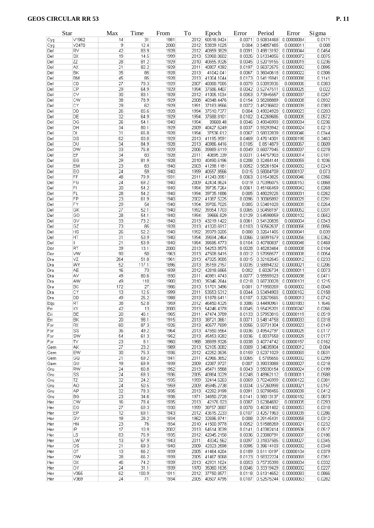|     | Star      | Max             | Time  | From | To   | Epoch           | Error  | Period                         | Error      | Sigma  |
|-----|-----------|-----------------|-------|------|------|-----------------|--------|--------------------------------|------------|--------|
| Cyg | V1962     | 14              | 31    | 1981 | 2012 | 50518.9424      | 0.0071 | 0.50834468                     | 0.00000084 | 0.0171 |
| Cyg | V2470     | 9               | 12.4  | 2000 | 2012 | 53839.1025      | 0.004  | 0.54857465                     | 0.0000011  | 0.008  |
| Del | RV        | 42              | 83.9  | 1928 | 2012 | 40859.3829      | 0.0091 | 0.49813192                     | 0.00000044 | 0.0454 |
| Del | SX        | $\overline{19}$ | 14.5  | 1999 | 2013 | 53968.0602      | 0.0026 | 0.61334056                     | 0.00000072 | 0.0075 |
| Del | ΖZ        | 28              | 81.2  | 1929 | 2010 | 40655.9326      | 0.0045 | 0.52019155                     | 0.00000019 | 0.0236 |
| Del | AX        | 21              | 82.2  | 1929 | 2011 | 40807.4392      | 0.0197 | 0.56372575                     | 0.00000092 | 0.0895 |
| Del | BK        | 35              | 85    | 1928 | 2013 | 41042.041       | 0.0067 | 0.36040618                     | 0.00000022 | 0.0306 |
| Del | <b>BM</b> | 45              | 85    | 1928 | 2013 | 41004.1044      | 0.0173 | 0.54115941                     | 0.00000088 | 0.1141 |
| Del | CD        | $\overline{27}$ | 78.3  | 1929 | 2007 | 40088.7085      | 0.0079 | 0.63093936                     | 0.0000006  | 0.0383 |
| Del | CP        | 29              | 64.9  | 1929 | 1994 | 37686.4407      | 0.0042 | 0.52747511                     | 0.00000025 | 0.022  |
|     |           |                 |       |      |      |                 |        |                                |            |        |
| Del | CV        | 30              | 83.1  | 1929 | 2012 | 41005.1034      | 0.0053 | 0.73945557                     | 0.00000037 | 0.0257 |
| Del | CW        | 38              | 78.9  | 1929 | 2008 | 40348.4476      | 0.0154 | 0.58208889                     | 0.0000008  | 0.0932 |
| Del | CΥ        | 29              | 62    | 1929 | 1991 | 37183.8566      | 0.0072 | 0.45236602                     | 0.00000039 | 0.0383 |
| Del | DD        | 26              | 65.6  | 1928 | 1994 | 37510.7377      | 0.004  | 0.49024928                     | 0.00000023 | 0.0203 |
| Del | DE        | $\overline{32}$ | 64.9  | 1929 | 1994 | 37688.8101      | 0.0102 | 0.42269686                     | 0.0000005  | 0.0572 |
| Del | DG        | 26              | 54.1  | 1940 | 1994 | 39668.48        | 0.0046 | 0.49046993                     | 0.00000034 | 0.0236 |
| Del | DH        | 34              | 80.1  | 1929 | 2009 | 40427.6249      | 0.0037 | 0.59293942                     | 0.00000024 | 0.0213 |
| Del | DI        | 31              | 65.8  | 1928 | 1994 | 37536.612       | 0.0067 | 0.58032839                     | 0.00000046 | 0.0344 |
| Del | DS        | 62              | 83.8  | 1929 | 2013 | 41195.9591      | 0.0469 | 0.47614301                     | 0.00000198 | 0.3463 |
| Del | DU        | 34              | 84.9  | 1928 | 2013 | 40986.4416      | 0.0105 | 0.6514879                      | 0.00000067 | 0.0609 |
| Del | <b>DW</b> | 33              | 76.8  | 1929 | 2006 | 39889.6119      | 0.0049 | 0.66077045                     | 0.00000037 | 0.0278 |
| Del | EF        | 34              | 83    | 1928 | 2011 | 40695.339       | 0.0031 | 0.44757903                     | 0.00000014 | 0.0181 |
| Del | EG        | 29              | 81.9  | 1928 | 2010 | 40490.6196      | 0.0208 | 0.32484144                     | 0.00000059 | 0.1036 |
|     |           | 23              |       |      |      |                 |        |                                |            |        |
| Del | EM        |                 | 63    | 1940 | 2003 | 41298.1181      | 0.0052 | 0.58261504                     | 0.00000032 | 0.0243 |
| Del | EO        | 24              | 59    | 1940 | 1999 | 40557.8566      | 0.015  | 0.58004709                     | 0.00000107 | 0.073  |
| Del | FF        | 48              | 79.9  | 1931 | 2011 | 41243.0951      | 0.0063 | 0.61543825                     | 0.00000046 | 0.0356 |
| Del | FG        | 24              | 69.2  | 1940 | 2009 | 42434.8624      | 0.019  | 0.70396075                     | 0.00000153 | 0.0868 |
| Del | F1        | 20              | 54.2  | 1940 | 1994 | 39735.7264      | 0.0061 | 0.45166459                     | 0.00000042 | 0.0268 |
| Del | FL        | 28              | 54.2  | 1940 | 1994 | 39735.1686      | 0.005  | 0.48029226                     | 0.00000031 | 0.0262 |
| Del | FP        | 23              | 61.9  | 1940 | 2002 | 41087.5225      | 0.0096 | 0.30065892                     | 0.00000029 | 0.0291 |
| Del | FY        | 29              | 54    | 1940 | 1994 | 39706.7025      | 0.005  | 0.53481028                     | 0.00000039 | 0.0264 |
| Del | GK        | $\overline{27}$ | 52.1  | 1940 | 1992 | 39354.1703      | 0.0065 | 0.50458197                     | 0.00000052 | 0.0331 |
| Del | GO        | 28              | 54.1  | 1940 | 1994 | 39666.829       | 0.0129 | 0.54598059                     | 0.00000102 | 0.0652 |
| Del | GV        | 33              | 73.2  | 1940 | 2013 | 43219.1422      | 0.0061 | 0.54120835                     | 0.0000004  | 0.0343 |
|     | GZ        | 73              |       |      | 2013 |                 | 0.0103 | 0.50562637                     |            |        |
| Del |           |                 | 85    | 1928 |      | 41020.6917      |        |                                | 0.00000066 | 0.0856 |
| Del | HS        | 26              | 52.2  | 1940 | 1992 | 39379.0205      | 0.008  | 0.32641405                     | 0.00000041 | 0.039  |
| Del | HT        | 31              | 53.9  | 1940 | 1994 | 39694.2464      | 0.0066 | 0.56991679                     | 0.00000056 | 0.0362 |
| Del | Ш         | 21              | 53.9  | 1940 | 1994 | 39695.4773      | 0.0104 | 0.40780837                     | 0.00000048 | 0.0469 |
| Dor | RT        | 39              | 13.1  | 2000 | 2013 | 54253.8575      | 0.0028 | 0.48283464                     | 0.0000008  | 0.0104 |
| Dor | W         | 90              | 50    | 1963 | 2013 | 47508.8415      | 0.0012 | 0.57058577                     | 0.00000008 | 0.0054 |
| Dra | VZ        | 264             | 51.8  | 1961 | 2013 | 47025.9085      | 0.0015 | 0.32102645                     | 0.00000012 | 0.0233 |
| Dra | WY        | 52              | 117.1 | 1896 | 2013 | 35159.2157      | 0.0035 | 0.58894232                     | 0.00000021 | 0.0206 |
| Dra | AE        | 16              | 73    | 1939 | 2012 | 42818.6865      | 0.002  | 0.6026734                      | 0.00000011 | 0.0073 |
| Dra | AV        | 49              | 80.6  | 1930 | 2011 | 40981.4743      | 0.0077 | 0.55559323                     | 0.00000038 | 0.0471 |
| Dra | AW        | 49              | 110   | 1900 | 2010 | 35346.2844      | 0.0218 | 0.68720028                     | 0.00000101 | 0.1215 |
| Dra | BC        | 172             | 27    | 1986 | 2013 | 51701.3496      | 0.001  | 0.71958269                     | 0.0000002  | 0.0048 |
| Dra | CY        | 13              | 12.5  | 1999 | 2011 | 53553.5312      | 0.0044 | 0.53494903                     | 0.00000162 | 0.0158 |
|     | DD        | 49              | 25.2  | 1988 | 2013 | 51878.6411      | 0.0107 | 0.32679565                     | 0.0000013  | 0.0742 |
| Dra |           |                 |       |      |      |                 |        |                                |            |        |
| Equ | RT        | 38              | 52.8  | 1959 | 2012 | 46450.4325      | 0.3086 | 0.44490961                     | 0.00001883 | 1.1646 |
| Eri | XY        | 42              | 13    | 2000 | 2013 | 54246.4378      | 0.0045 | 0.55425201                     | 0.00000247 | 0.0266 |
| Eri | BЕ        | 20              | 46.1  | 1965 | 2011 | 47474.3789      | 0.0133 | 0.57953816                     | 0.00000119 | 0.0519 |
| Eri | ΒK        | 20              | 98.1  | 1915 | 2013 | 38721.0661      | 0.0071 | 0.54814758                     | 0.00000033 | 0.0318 |
| For | RX        | 60              | 87.3  | 1926 | 2013 | 40677.7699      | 0.0056 | 0.59731304                     | 0.00000023 | 0.0149 |
| For | SS        | 36              | 49.2  | 1964 | 2013 | 47650.5564      | 0.0036 | 0.49542797                     | 0.00000025 | 0.0117 |
| For | SW        | 54              | 61.3  | 1952 | 2013 | 45453.9282      | 0.0036 | 0.8037558                      | 0.00000029 | 0.0177 |
| For | ΙV        | 23              | 8.1   | 1960 | 1968 | 38699.9326      | 0.0038 | 0.40774742                     | 0.00000157 | 0.0162 |
| Gem | ΑK        | 27              | 23.2  | 1989 | 2013 | 52105.0082      | 0.0009 | 0.34635904                     | 0.00000012 | 0.004  |
| Gem | EW        | 30              | 75.3  | 1936 | 2012 | 42252.0635      | 0.0159 | 0.52371029                     | 0.00000069 | 0.0631 |
| Gem | GQ        | 21              | 69.2  | 1941 | 2011 | 42966.3652      | 0.0065 | 0.5705656                      | 0.00000032 | 0.0299 |
| Gem | GU        | 19              | 69.9  | 1939 | 2009 | 42087.9727      | 0.007  | 0.39033088                     | 0.00000027 | 0.0218 |
|     |           |                 |       |      |      |                 |        |                                |            |        |
| Gru | RW        | 24              | 60.8  | 1952 | 2013 | 45471.5568      | 0.0043 | 0.55030154                     | 0.00000024 | 0.0199 |
| Gru | SS        | 24              | 69.3  | 1936 | 2005 | 40984.0229      | 0.0248 | 0.48962112                     | 0.0000011  | 0.0588 |
| Gru | TZ        | 32              | 24.2  | 1935 | 1959 | 32414.6263      | 0.0069 | 0.70246999                     | 0.00000122 | 0.0381 |
| Gru | AO.       | 24              | 50.5  | 1959 | 2009 | 45945.2738      | 0.0034 | 0.57260998                     | 0.00000021 | 0.0157 |
| Gru | AP        | 32              | 78.3  | 1935 | 2013 | 42292.9199      | 0.0091 | 0.50798455                     | 0.00000039 | 0.0412 |
| Gru | BG        | 23              | 34.6  | 1936 | 1971 | 34650.2728      | 0.0141 | 0.56013137                     | 0.00000182 | 0.0673 |
| Her | CW        | 16              | 78.4  | 1935 | 2013 | 42176.923       | 0.0087 | 0.62384692                     | 0.0000005  | 0.0293 |
| Her | EG        | 27              | 69.3  | 1930 | 1999 | 38757.0887      | 0.0078 | 0.48301482                     | 0.00000053 | 0.0318 |
| Her | EP        | 12              | 69.1  | 1943 | 2012 | 43615.2233      | 0.0107 | 0.42571963                     | 0.00000039 | 0.0286 |
| Her | GV        | 19              | 28.2  | 1934 | 1962 | 32696.8741      | 0.008  | 0.29145431                     | 0.00000058 | 0.0312 |
| Her | <b>HN</b> | 23              | 76    | 1934 | 2010 | 41500.9778      | 0.0052 | 0.51588269                     | 0.00000021 | 0.0232 |
|     |           |                 |       |      |      |                 |        |                                |            |        |
| Her | IP        | 17              | 10.9  | 2002 | 2013 | 54514.3039      | 0.0141 | 0.43382414                     | 0.00000506 | 0.0517 |
| Her | LS        | 83              | 76.9  | 1935 | 2012 | 42045.2158      | 0.0036 | 0.23080791                     | 0.00000007 | 0.0186 |
| Her | LW        | 13              | 67.9  | 1943 | 2011 | 43342.562       | 0.0097 | 0.31837585                     | 0.00000027 | 0.0345 |
| Her | ΟS        | 21              | 69.3  | 1940 | 2009 | 42323.2598      | 0.0095 | 0.39614103                     | 0.00000032 | 0.0348 |
| Her | ОT        | 13              | 66.2  | 1939 | 2005 | 41464.4204      | 0.0189 | 0.61110197                     | 0.00000104 | 0.0379 |
| Her | OW        | 28              | 66.2  | 1939 | 2005 | 41467.8068      | 0.0123 | 0.58322224                     | 0.00000069 | 0.0351 |
| Her | ОХ        | 46              | 74.2  | 1939 | 2013 | 42931.1624      | 0.0053 | 0.75735398                     | 0.00000034 | 0.0332 |
| Her | OΥ        | 24              | 31.1  | 1939 | 1970 | 35060.1635      | 0.0046 | 0.33319429                     | 0.00000032 | 0.0227 |
| Her | V365      | 62              | 100.9 | 1911 | 2012 | 37750.8577      |        | 0.0118 0.61314652              | 0.00000083 | 0.0866 |
| Her | V369      | 24              | 71    | 1934 |      | 2005 40507.4795 |        | $0.0107$ 0.52575244 0.00000063 |            | 0.0282 |
|     |           |                 |       |      |      |                 |        |                                |            |        |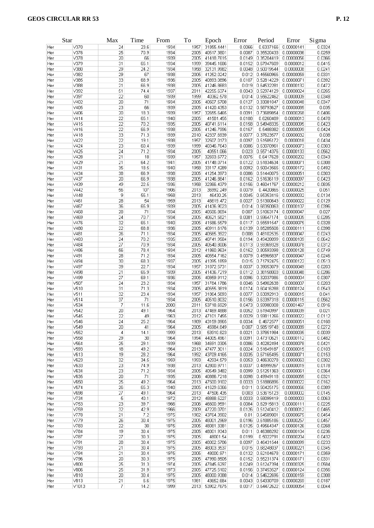|            | <b>Star</b>          | Max             | Time         | From         | To           | Epoch                    | Error            | Period                   | Error                    | Sigma            |
|------------|----------------------|-----------------|--------------|--------------|--------------|--------------------------|------------------|--------------------------|--------------------------|------------------|
| Her        | V370                 | 24              | 23.6         | 1934         | 1957         | 31855.4441               | 0.0066           | 0.6337166                | 0.00000141               | 0.0324           |
| Her        | V376                 | 25              | 70.9         | 1934         | 2005         | 40517.3801               | 0.0087           | 0.35520433               | 0.00000036               | 0.0259           |
| Her        | V378                 | 20              | 66           | 1939         | 2005         | 41418.7615               | 0.0149           | 0.35204419               | 0.00000056               | 0.0366           |
| Her        | V379                 | 31              | 65.1         | 1934         | 1999         | 39445.1686               | 0.0152           | 0.67947609               | 0.0000012                | 0.0415           |
| Her        | $\vee$ 380           | 29              | 24.2         | 1934         | 1958         | 32131.9982               | 0.0048           | 0.50019544               | 0.0000008                | 0.0241           |
| Her        | V382                 | 29              | 67           | 1938         | 2005         | 41252.0242               | 0.012            | 0.45560965               | 0.00000059               | 0.0331           |
| Her        | $\vee$ 385           | 33              | 68.9         | 1936         | 2005         | 40893.0896               | 0.0107<br>0.019  | 0.52814229<br>0.64532281 | 0.00000071               | 0.0392           |
| Her<br>Her | V388<br>$\sqrt{392}$ | 21<br>51        | 66.9<br>74.4 | 1938<br>1937 | 2005<br>2011 | 41246.8683<br>42255.6374 | 0.0043           | 0.52974129               | 0.00000132<br>0.00000024 | 0.0472<br>0.0265 |
| Her        | V397                 | 22              | 60           | 1939         | 1999         | 40362.578                | 0.014            | 0.55622462               | 0.0000009                | 0.0348           |
| Her        | V402                 | 20              | 71           | 1934         | 2005         | 40507.5708               | 0.0127           | 0.33081047               | 0.00000048               | 0.0347           |
| Her        | $\vee$ 405           | 23              | 66           | 1939         | 2005         | 41420.4353               | 0.0132           | 0.58793627               | 0.00000085               | 0.035            |
| Her        | V406                 | $\overline{20}$ | 18.3         | 1939         | 1957         | 32655.6465               | 0.0091           | 0.73689854               | 0.00000268               | 0.0406           |
| Her        | $\sqrt{414}$         | 22              | 65.1         | 1940         | 2005         | 41581.455                | 0.0188           | 0.6260489                | 0.0000013                | 0.0478           |
| Her        | V415                 | 22              | 70.2         | 1935         | 2005         | 40741.6114               | 0.0158           | 0.54948335               | 0.00000095               | 0.0423           |
| Her        | V416                 | 22              | 66.9         | 1938         | 2005         | 41246.7996               | 0.0167           | 0.5488382                | 0.00000099               | 0.0424           |
| Her        | V418                 | 33              | 71.3         | 1939         | 2010         | 42337.6939               | 0.0077           | 0.37623577               | 0.00000032               | 0.038            |
| Her        | V422                 | 22              | 19.1         | 1938         | 1957         | 32507.0173               | 0.0097           | 0.51585172               | 0.0000018                | 0.0434           |
| Her        | V424                 | 23              | 60.4         | 1939         | 1999         | 40346.7643               | 0.0086           | 0.63070961               | 0.00000073               | 0.0303           |
| Her        | V425                 | 24              | 71.2         | 1934         | 2005         | 40551.066                | 0.023            | 0.55714376               | 0.00000133               | 0.0562           |
| Her        | V428                 | 21              | 18           | 1939         | 1957         | 32693.6772               | 0.0075           | 0.6417628                | 0.00000202               | 0.0343           |
| Her        | V429                 | 21              | 64.2         | 1941         | 2005         | 41748.0714               | 0.0122           | 0.51834634               | 0.00000071               | 0.0308           |
| Her        | V431                 | 35              | 18.5         | 1940         | 1958         | 33117.4289               | 0.0092           | 0.50043565               | 0.00000172               | 0.0492           |
| Her        | V434                 | 38              | 66.9         | 1938         | 2005         | 41254.3973               | 0.0086           | 0.51440075               | 0.00000051               | 0.0303           |
| Her        | V437                 | 20              | 66.9         | 1938         | 2005         | 41246.8841               | 0.0162           | 0.51636119               | 0.00000097               | 0.0423           |
| Her        | V439                 | 49              | 22.5         | 1936         | 1958         | 32366.4379               | 0.0156           | 0.46041767               | 0.00000212               | 0.0835           |
| Her        | V442                 | 56              | 107          | 1906         | 2013         | 36992.249                | 0.0079           | 0.4420865                | 0.00000025               | 0.051            |
| Her        | V448                 | 9               | 55.1         | 1958         | 2013         | 46430.25                 | 0.0045           | 0.65353416               | 0.00000032               | 0.0134           |
| Her        | V461                 | 28              | 54           | 1959         | 2013         | 46619.472                | 0.0027           | 0.51300643               | 0.00000022               | 0.0129           |
| Her        | V467                 | 36              | 65.9         | 1939         | 2005         | 41436.9023               | 0.014            | 0.68350063               | 0.00000107               | 0.0396           |
| Her        | V468                 | 28              | 71           | 1934         | 2005         | 40506.8694               | 0.007            | 0.51063174               | 0.00000047               | 0.027            |
| Her        | V469                 | 24              | 70.7         | 1934         | 2005         | 40621.5821               | 0.0081           | 0.59647174               | 0.0000005                | 0.0285           |
| Her        | V476<br>$\vee$ 480   | 32<br>22        | 65.1         | 1940<br>1936 | 2005<br>2005 | 41586.5579               | 0.0117<br>0.0139 | 0.55591547<br>0.65285506 | 0.00000075               | 0.0328           |
| Her        | V481                 | 26              | 68.8<br>71.1 | 1934         | 2005         | 40911.6176<br>40565.3922 | 0.008            | 0.48102535               | 0.00000111<br>0.00000047 | 0.0398<br>0.0243 |
| Her<br>Her | V483                 | 24              | 70.2         | 1935         | 2005         | 40741.9584               | 0.0194           | 0.49428099               | 0.00000109               | 0.0642           |
| Her        | $\vee$ 484           | 27              | 70.9         | 1934         | 2005         | 40540.8006               | 0.0113           | 0.59369328               | 0.00000078               | 0.0312           |
| Her        | V486                 | 56              | 78.4         | 1934         | 2012         | 41860.9634               | 0.0162           | 0.80593398               | 0.00000128               | 0.0749           |
| Her        | V491                 | 28              | 71.2         | 1934         | 2005         | 40554.7162               | 0.0079           | 0.45965837               | 0.00000047               | 0.0246           |
| Her        | $\vee$ 494           | 30              | 68.3         | 1937         | 2005         | 41095.1859               | 0.015            | 0.71792475               | 0.00000122               | 0.0513           |
| Her        | V497                 | 39              | 22.7         | 1934         | 1957         | 31872.5731               | 0.0037           | 0.39053079               | 0.00000049               | 0.0203           |
| Her        | $\vee$ 498           | 21              | 65.9         | 1939         | 2005         | 41436.7219               | 0.0112           | 0.38158003               | 0.00000048               | 0.0286           |
| Her        | $\vee$ 499           | 27              | 69.1         | 1936         | 2005         | 40859.9112               | 0.0096           | 0.32037086               | 0.0000004                | 0.0307           |
| Her        | V507                 | 24              | 23.2         | 1934         | 1957         | 31784.1786               | 0.0046           | 0.54902638               | 0.0000007                | 0.0203           |
| Her        | V510                 | 31              | 71.3         | 1934         | 2005         | 40555.3819               | 0.0174           | 0.60416288               | 0.00000124               | 0.0543           |
| Her        | V511                 | 32              | 23.4         | 1934         | 1957         | 31864.5693               | 0.0077           | 0.63092913               | 0.0000015                | 0.041            |
| Her        | $\sqrt{514}$         | 37              | 71           | 1934         | 2005         | 40510.8032               | 0.0156           | 0.63397318               | 0.00000115               | 0.0562           |
| Her        | V534                 | 7               | 11.6         | 2000         | 2011         | 53718.6929               | 0.0473           | 0.59980308               | 0.00001467               | 0.0916           |
| Her        | V542                 | 20              | 49.1         | 1964         |              | 2013 47469.4888          | 0.0052           | 0.61940997               | 0.00000039               | 0.021            |
| Her        | $\sqrt{545}$         | 22              | 49           | 1963         |              | 2012 47101.7455          | 0.0029           | 0.59811266               | 0.00000022               | 0.0112           |
| Her        | V546                 | 24              | 25.2         | 1964         | 1989         | 43159.8965               | 0.0034           | 0.4672577                | 0.00000051               | 0.0168           |
| Her        | V549                 | 20              | 41           | 1964         | 2005         | 45984.849                | 0.007            | 0.58519748               | 0.00000089               | 0.0272           |
| Her        | V552                 | 4               | 14.1         | 1999         | 2013         | 53910.823                | 0.0021           | 0.37851984               | 0.00000035               | 0.0039           |
| Her        | V558                 | 29              | 30           | 1964         | 1994         | 44005.4961               | 0.0091           | 0.47310621               | 0.00000112               | 0.0482           |
| Her        | V564                 | 25              | 29.1         | 1939         | 1968         | 34691.0305               | 0.0086<br>0.0024 | 0.40282494               | 0.00000078               | 0.0421           |
| Her        | V593<br>V613         | 18<br>19        | 49.2<br>28.2 | 1964<br>1964 | 2013<br>1992 | 47477.3011<br>43709.4165 | 0.0035           | 0.51649187<br>0.67165495 | 0.00000015<br>0.00000071 | 0.0103<br>0.0153 |
| Her        | V623                 | 32              | 34.5         | 1959         | 1993         | 42934.579                | 0.0053           | 0.48630278               | 0.00000063               | 0.0302           |
| Her<br>Her | V633                 | 23              | 74.9         | 1938         | 2013         | 42800.9711               | 0.0037           | 0.48999267               | 0.00000019               | 0.0178           |
| Her        | V634                 | 23              | 71.2         | 1934         | 2005         | 40549.3482               | 0.0099           | 0.51251363               | 0.00000061               | 0.0364           |
| Her        | V635                 | 20              | 71           | 1935         | 2006         | 40886.7218               | 0.0098           | 0.49949118               | 0.00000055               | 0.0321           |
| Her        | V650                 | 25              | 49.2         | 1964         | 2013         | 47500.9102               | 0.0033           | 0.51886896               | 0.00000022               | 0.0162           |
| Her        | V674                 | 26              | 65.3         | 1940         | 2005         | 41629.6366               | 0.011            | 0.50425175               | 0.00000066               | 0.0389           |
| Her        | V698                 | 27              | 49.1         | 1964         | 2013         | 47506.435                | 0.003            | 0.53615123               | 0.0000002                | 0.0145           |
| Her        | V734                 | 5               | 40.1         | 1972         | 2012         | 48888.5227               | 0.0033           | 0.58099419               | 0.0000003                | 0.0063           |
| Her        | V753                 | 23              | 39.7         | 1966         | 2006         | 46600.9591               | 0.0084           | 0.62915813               | 0.00000111               | 0.0225           |
| Her        | $\sqrt{759}$         | 32              | 42.9         | 1966         | 2009         | 47220.0701               | 0.0126           | 0.51240412               | 0.0000012                | 0.0465           |
| Her        | V778                 | 21              | 7.2          | 1975         | 1982         | 43764.3902               | 0.01             | 0.64589001               | 0.00000675               | 0.0454           |
| Her        | V779                 | 26              | 30.4         | 1975         | 2005         | 48001.2969               | 0.0196           | 0.61885186               | 0.00000257               | 0.0457           |
| Her        | V783                 | 22              | 30           | 1975         | 2005         | 48081.3381               | 0.0125           | 0.49564347               | 0.00000126               | 0.0268           |
| Her        | $\sqrt{784}$         | 19              | 30.4         | 1975         | 2005         | 48001.9343               | 0.011            | 0.46388292               | 0.00000104               | 0.0236           |
| Her        | V787                 | 27              | 30.3         | 1975         | 2005         | 48001.54                 | 0.0199           | 0.5022791                | 0.00000204               | 0.0432           |
| Her        | V791                 | 28              | 30.4         | 1975         | 2005         | 48002.5786               | 0.0097           | 0.46431544               | 0.00000099               | 0.0233           |
| Her        | V793                 | 21              | 30.4         | 1975         | 2005         | 48003.3537               | 0.015            | 0.68248037               | 0.00000221               | 0.0345           |
| Her        | $\sqrt{794}$         | 21              | 30.4         | 1975         | 2005         | 48000.971                | 0.0132           | 0.62104678               | 0.00000171               | 0.0359           |
| Her        | V796                 | 20              | 30.3         | 1975         | 2005         | 47990.8505               | 0.0152           | 0.55231374               | 0.00000171               | 0.0331           |
| Her        | $\vee 800$           | 25              | 31.3         | 1974         | 2005         | 47845.6297               | 0.0249           | 0.61247394               | 0.00000325               | 0.0584           |
| Her        | V806                 | 25              | 31.9         | 1973         | 2005         | 47725.5102               | 0.0156           | 0.37453527               | 0.00000124               | 0.0356           |
| Her        | V810                 | 20              | 30.4         | 1975         | 2005         | 48000.9388               | 0.014            | 0.54622696               | 0.00000159               | 0.0308           |
| Her        | V813                 | 21              | 6.6          | 1975         | 1981         | 43652.684                | 0.0043           | 0.54330709               | 0.00000269               | 0.0187           |
| Her        | V1013                | 7               | 14.2         | 1999         |              | 2013 53902.7675          |                  | 0.0017 0.64472622        | 0.00000054               | 0.0044           |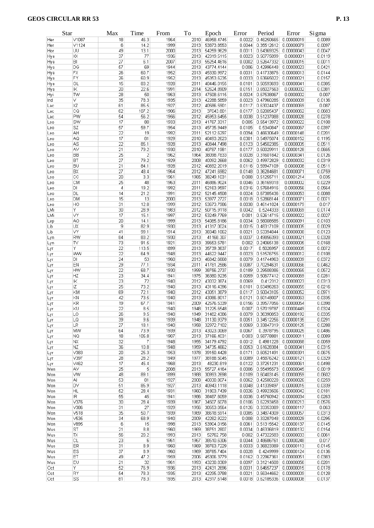|     | Star                    | Max             | Time  | From | To   | Epoch           | Error  | Period                         | Error      | Sigma  |
|-----|-------------------------|-----------------|-------|------|------|-----------------|--------|--------------------------------|------------|--------|
| Her | V1087                   | 18              | 46.3  | 1964 | 2010 | 46958.4745      | 0.0022 | 0.46250665                     | 0.00000019 | 0.0089 |
| Her | V1124                   | 6               | 14.2  | 1999 | 2013 | 53873.8553      | 0.0044 | 0.35512612                     | 0.00000079 | 0.0097 |
| Hor | ΙUU                     | 49              | 13.1  | 2000 | 2013 | 54259.9629      | 0.0011 | 0.64369325                     | 0.00000043 | 0.0047 |
| Hya | ХX                      | 37              | 77    | 1936 | 2013 | 42319.5115      | 0.0023 | 0.50775099                     | 0.0000001  | 0.0119 |
| Hya | BI                      | 27              | 6.1   | 2007 | 2013 | 55254.4616      | 0.0002 | 0.52647332                     | 0.00000015 | 0.0011 |
| Hya | DG                      | 57              | 69    | 1944 | 2013 | 43774.4144      | 0.006  | 0.42996448                     | 0.00000023 | 0.0421 |
| Hya | <b>FX</b>               | 26              | 60.7  | 1952 | 2013 | 45330.9972      | 0.0031 | 0.41733876                     | 0.00000013 | 0.0144 |
| Hya | FY                      | 26              | 60.9  | 1952 | 2013 | 45353.6235      | 0.0033 | 0.63665022                     | 0.00000021 | 0.0157 |
| Hya | GL                      | $\overline{15}$ | 83.2  | 1928 | 2011 | 40446.0155      | 0.0101 | 0.50593693                     | 0.00000041 | 0.0385 |
| Hya | $\overline{\mathbb{K}}$ | 20              | 22.6  | 1991 | 2014 | 52624.8909      | 0.0151 | 0.65027563                     | 0.0000032  | 0.0381 |
| Hyi | <b>TW</b>               | 28              | 50    | 1963 | 2013 | 47508.6115      | 0.0024 | 0.67538067                     | 0.0000002  | 0.007  |
| Ind | V                       | 35              | 78.3  | 1935 | 2013 | 42288.5859      | 0.0023 | 0.47960285                     | 0.00000009 | 0.0136 |
| Lac | XZ                      | 61              | 85.5  | 1927 | 2012 | 40586.5901      | 0.0117 | 0.63024437                     | 0.00000069 | 0.087  |
| Lac | CQ                      | 62              | 107.2 | 1906 | 2013 | 37043.801       | 0.0177 | 0.62005437                     | 0.00000062 | 0.0683 |
| Lac | PW                      | 54              | 56.2  | 1956 | 2012 | 45953.6455      | 0.0038 | 0.51237088                     | 0.00000028 | 0.0278 |
| Leo | SW                      | 17              | 80    | 1933 | 2013 | 41767.3317      | 0.005  | 0.55413972                     | 0.00000022 | 0.0108 |
| Leo | SZ                      | 57              | 59.7  | 1954 | 2013 | 45735.9449      | 0.0105 | 0.5340847                      | 0.00000067 | 0.0397 |
| Leo | AH                      | 22              | 19    | 1992 | 2011 | 52112.6297      | 0.0094 | 0.46630649                     | 0.00000148 | 0.0201 |
| Leo | AQ                      | 17              | 81    | 1929 | 2010 | 40493.2623      | 0.0301 | 0.54975074                     | 0.00000152 | 0.1195 |
|     | AS                      | 22              | 85.1  | 1928 | 2013 | 40844.7498      | 0.0123 | 0.54502385                     | 0.0000005  | 0.0511 |
| Leo | AV                      | 21              |       |      |      |                 | 0.0177 | 0.50029911                     |            | 0.0665 |
| Leo |                         |                 | 79.2  | 1930 | 2010 | 40787.1981      |        |                                | 0.00000128 |        |
| Leo | BB                      | $\overline{25}$ | 2     | 1962 | 1964 | 38098.7833      | 0.0028 | 0.31601842                     | 0.00000341 | 0.0126 |
| Leo | BT                      | 27              | 79.2  | 1929 | 2008 | 40092.2668      | 0.0062 | 0.49972829                     | 0.00000032 | 0.0319 |
| Leo | BU                      | 21              | 84.1  | 1928 | 2012 | 40692.2019      | 0.0116 | 0.59947109                     | 0.0000008  | 0.0511 |
| Leo | BX                      | 27              | 48.4  | 1964 | 2012 | 47241.6982      | 0.0148 | 0.36284681                     | 0.00000071 | 0.0759 |
| Leo | $_{\rm cc}$             | $\overline{20}$ | 3.3   | 1961 | 1965 | 38249.1031      | 0.008  | 0.51255711                     | 0.00001214 | 0.035  |
| Leo | CM                      | 25              | 48    | 1963 | 2011 | 46886.9024      | 0.0046 | 0.36169318                     | 0.0000002  | 0.0229 |
| Leo | DI                      | 4               | 19.2  | 1992 | 2011 | 52163.9597      | 0.0316 | 0.57684916                     | 0.0000056  | 0.0564 |
| Leo | DL                      | 14              | 21.2  | 1991 | 2012 | 52145.4508      | 0.0024 | 0.67385436                     | 0.00000053 | 0.0088 |
| Leo | <b>DM</b>               | 15              | 13    | 2000 | 2013 | 53977.2727      | 0.0018 | 0.52868144                     | 0.00000071 | 0.0071 |
| Leo | HO                      | 31              | 12.8  | 1999 | 2012 | 53673.7986      | 0.0038 | 0.46141024                     | 0.00000179 | 0.017  |
| LMi | Υ                       | 30              | 28.9  | 1983 | 2012 | 50715.9118      | 0.0042 | 0.5244333                      | 0.00000069 | 0.0174 |
| LMi | VY                      | 17              | 15.1  | 1997 | 2012 | 53249.7769      | 0.001  | 0.52614715                     | 0.00000022 | 0.0027 |
|     | A <sub>O</sub>          | 20              | 14.1  | 1999 | 2013 | 54085.8186      | 0.0034 | 0.56008585                     | 0.00000091 | 0.0103 |
| Lep | UX                      |                 |       |      | 2013 |                 | 0.0015 |                                |            |        |
| Lib |                         | 9               | 82.9  | 1930 |      | 41317.0024      |        | 0.48317109                     | 0.00000005 | 0.0029 |
| Lib | l۷Y                     | 41              | 99.1  | 1914 | 2013 | 38340.1062      | 0.0021 | 0.53394044                     | 0.00000008 | 0.0123 |
| Lyn | RW                      | 84              | 83.2  | 1930 | 2013 | 41168.307       | 0.0037 | 0.49856393                     | 0.00000021 | 0.0328 |
| Lyn | TV                      | 73              | 91.5  | 1921 | 2013 | 39653.5781      | 0.002  | 0.24065138                     | 0.00000005 | 0.0168 |
| Lyr | Y                       | 22              | 113.5 | 1899 | 2013 | 35739.3637      | 0.0017 | 0.5026957                      | 0.00000005 | 0.0072 |
| Lyr | WW                      | 22              | 64.9  | 1948 | 2013 | 44622.9447      | 0.0023 | 0.51576755                     | 0.00000012 | 0.0108 |
| Lyr | DI                      | 24              | 53    | 1960 | 2013 | 46842.6668      | 0.0079 | 0.41744963                     | 0.00000039 | 0.0372 |
| Lyr | EN                      | 29              | 77.1  | 1934 | 2011 | 41781.2586      | 0.0087 | 0.70294631                     | 0.00000066 | 0.0462 |
| Lyr | <b>HW</b>               | 22              | 68.7  | 1930 | 1999 | 38756.2737      | 0.0189 | 0.29508386                     | 0.00000065 | 0.0572 |
| Lyr | HZ                      | 23              | 34.4  | 1941 | 1975 | 36380.9235      | 0.0059 | 0.50677412                     | 0.00000069 | 0.0281 |
| Lyr | ΙK                      | 23              | 72    | 1940 | 2012 | 43032.3874      | 0.0069 | 0.412312                       | 0.00000023 | 0.0313 |
| Lyr | IZ                      | $\overline{25}$ | 73.2  | 1940 | 2013 | 43116.4396      | 0.0101 | 0.63496263                     | 0.00000055 | 0.0216 |
| Lyr | KM                      | 69              | 72.1  | 1940 | 2012 | 43051.3879      | 0.0117 | 0.50043105                     | 0.00000052 | 0.0971 |
| Lyr | KN                      | 42              | 73.5  | 1940 | 2013 | 43086.8017      | 0.0121 | 0.60148007                     | 0.00000063 | 0.0335 |
| Lyr | KR                      | 19              | 67.7  | 1941 | 2009 | 42576.5339      | 0.0156 | 0.39577056                     | 0.00000054 | 0.0398 |
|     | KU                      | $\overline{22}$ | 8.5   | 1940 | 1948 | 31225.6548      | 0.007  | 0.57019787                     | 0.00000449 | 0.0324 |
| Lyr |                         |                 |       |      |      |                 |        | 0.36390853                     | 0.00000192 |        |
| Lyr | LO                      | 26              | 9.5   | 1940 | 1949 | 31482.4386      | 0.0079 |                                |            | 0.0335 |
| Lyr | LQ                      | 39              | 9.6   | 1939 | 1948 | 31130.9379      | 0.0051 | 0.34512256                     | 0.00000135 | 0.0291 |
| Lyr | LR                      | 27              | 18.1  | 1940 | 1958 | 32972.7102      | 0.0069 | 0.33847319                     | 0.00000125 | 0.0288 |
| Lyr | MW                      | 64              | 73.9  | 1939 | 2013 | 43023.0069      | 0.0067 | 0.3978795                      | 0.00000025 | 0.0486 |
| Lyr | NQ.                     | 18              | 105.8 | 1907 | 2013 | 37166.4031      | 0.003  | 0.58778881                     | 0.00000011 | 0.0089 |
| Lyr | NX.                     | 32              | 7     | 1948 | 1955 | 34179.4792      | 0.0012 | 0.4981228                      | 0.00000068 | 0.0059 |
| Lyr | ΝZ                      | 36              | 10.8  | 1948 | 1959 | 34735.4662      | 0.0053 | 0.61628384                     | 0.0000041  | 0.0315 |
| Lyr | V383                    | 20              | 25.3  | 1953 | 1978 | 39150.4428      | 0.0171 | 0.60521491                     | 0.00000391 | 0.0675 |
| Lyr | V397                    | 28              | 28.2  | 1949 | 1977 | 38188.5045      | 0.0089 | 0.45876242                     | 0.00000121 | 0.0329 |
| Lyr | V462                    | 17              | 45.4  | 1968 | 2013 | 48230.819       | 0.0122 | 0.37251231                     | 0.00000061 | 0.0498 |
| Men | ΙAν                     | 25              | 5     | 2008 | 2013 | 55727.4164      | 0.0006 | 0.55495573                     | 0.00000045 | 0.0019 |
| Mon | WW                      | 48              | 89.1  | 1899 | 1988 | 30993.2698      | 0.0109 | 0.60403145                     | 0.00000059 | 0.0602 |
| Mon | AI                      | 53              | 81    | 1927 | 2008 | 40030.8074      | 0.0062 | 0.42580228                     | 0.00000026 | 0.0259 |
| Mon | DV.                     | 51              | 85.9  | 1927 | 2013 | 40943.1118      | 0.0048 | 0.41339497                     | 0.00000015 | 0.0339 |
| Mon | <b>HL</b>               | 52              | 28.4  | 1931 | 1960 | 31803.7439      | 0.0026 | 0.49923506                     | 0.00000042 | 0.0181 |
| Mon | IR                      | 55              | 45    | 1941 | 1986 | 38487.6059      | 0.0036 | 0.45760942                     | 0.00000034 | 0.0263 |
|     | V376                    | 30              |       | 1939 | 1967 | 34507.6078      |        | 0.62293458                     |            | 0.0576 |
| Mon |                         |                 | 28.4  |      |      |                 | 0.0106 |                                | 0.00000213 |        |
| Mon | V386                    | 31              | 27    | 1929 | 1956 | 30553.0564      | 0.0126 | 0.33353389                     | 0.00000117 | 0.063  |
| Mon | V518                    | 35              | 50.7  | 1939 | 1989 | 38618.5914      | 0.0085 | 0.34874309                     | 0.00000057 | 0.0313 |
| Mon | V535                    | 34              | 68.9  | 1940 | 2009 | 42282.9222      | 0.008  | 0.33287048                     | 0.00000029 | 0.0295 |
| Mon | V895                    | 6               | 15    | 1998 | 2013 | 53904.0156      | 0.0061 | 0.51315542                     | 0.00000137 | 0.0145 |
| Mus | ST                      | 21              | 8.8   | 1960 | 1969 | 38751.2807      | 0.0034 | 0.46336819                     | 0.00000132 | 0.0154 |
| Mus | ΙX                      | 56              | 20.2  | 1993 | 2013 | 52762.758       | 0.002  | 0.47322583                     | 0.00000033 | 0.0061 |
| Mus | СL                      | 23              | 6     | 1961 | 1967 | 38510.6306      | 0.0044 | 0.48686761                     | 0.00000248 | 0.017  |
| Mus | ER                      | 31              | 8.9   | 1960 | 1969 | 38763.7229      | 0.0033 | 0.36823389                     | 0.00000113 | 0.0145 |
| Mus | ES                      | 37              | 8.9   | 1960 | 1969 | 38765.7404      | 0.0028 | 0.4249999                      | 0.00000124 | 0.0136 |
| Mus | ЕT                      | 49              | 47.2  | 1959 | 2006 | 45306.3779      | 0.0162 | 0.22967361                     | 0.00000051 | 0.0383 |
| Mus | EU                      | 21              | 32    | 1961 | 1993 | 43230.8369      | 0.0097 | 0.31214508                     | 0.00000056 | 0.0201 |
|     | Υ                       | 52              |       |      |      | 42431.2696      |        |                                |            |        |
| Oct |                         |                 | 76.9  | 1936 | 2013 |                 | 0.0031 | 0.64657237                     | 0.00000015 | 0.0178 |
| Oct | RY                      | 54              | 78.3  | 1935 |      | 2013 42295.0788 | 0.0021 | 0.56344662                     | 0.00000009 | 0.0128 |
| Oct | SS                      | 81              | 78.3  | 1935 |      | 2013 42317.6148 |        | $0.0018$ 0.62185336 0.00000008 |            | 0.0137 |